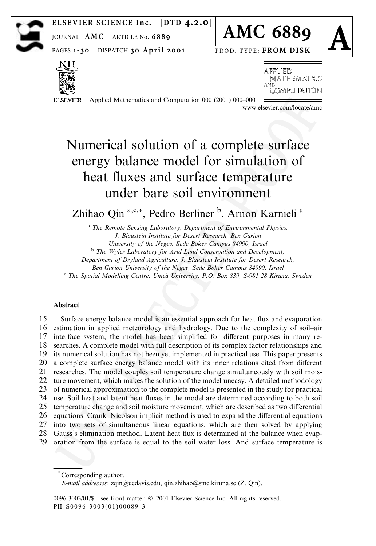

ELSEVIER SCIENCE Inc. [DTD  $4.2.0$ ]

JOURNAL AMC ARTICLE No. 6889

PAGES 1-30 DISPATCH 30 April 2001



PROD. TYPE: FROM DISK



**ELSEVIER** 

**APPLIED MATHEMATICS** and OMPI I

Applied Mathematics and Computation 000 (2001) 000-000

www.elsevier.com/locate/amc

# Numerical solution of a complete surface energy balance model for simulation of heat fluxes and surface temperature under bare soil environment

Zhihao Qin<sup>a,c,\*</sup>, Pedro Berliner<sup>b</sup>, Arnon Karnieli<sup>a</sup>

<sup>a</sup> The Remote Sensing Laboratory, Department of Environmental Physics, J. Blaustein Institute for Desert Research, Ben Gurion University of the Negev, Sede Boker Campus 84990, Israel <sup>b</sup> The Wyler Laboratory for Arid Land Conservation and Development, Department of Dryland Agriculture, J. Blaustein Institute for Desert Research, Ben Gurion University of the Negev, Sede Boker Campus 84990, Israel <sup>c</sup> The Spatial Modelling Centre, Umeå University, P.O. Box 839, S-981 28 Kiruna, Sweden

### Abstract

15 Surface energy balance model is an essential approach for heat flux and evaporation 16 estimation in applied meteorology and hydrology. Due to the complexity of soil-air 17 interface system, the model has been simplified for different purposes in many re-18 searches. A complete model with full description of its complex factor relationships and 19 its numerical solution has not been yet implemented in practical use. This paper presents 20 a complete surface energy balance model with its inner relations cited from different 21 researches. The model couples soil temperature change simultaneously with soil mois-22 ture movement, which makes the solution of the model uneasy. A detailed methodology 23 of numerical approximation to the complete model is presented in the study for practical 24 use. Soil heat and latent heat fluxes in the model are determined according to both soil 25 temperature change and soil moisture movement, which are described as two differential 26 equations. Crank–Nicolson implicit method is used to expand the differential equations 27 into two sets of simultaneous linear equations, which are then solved by applying 28 Gauss's elimination method. Latent heat flux is determined at the balance when evap-29 oration from the surface is equal to the soil water loss. And surface temperature is

<sup>\*</sup>Corresponding author. E-mail addresses: zqin@ucdavis.edu, qin.zhihao@smc.kiruna.se (Z. Qin).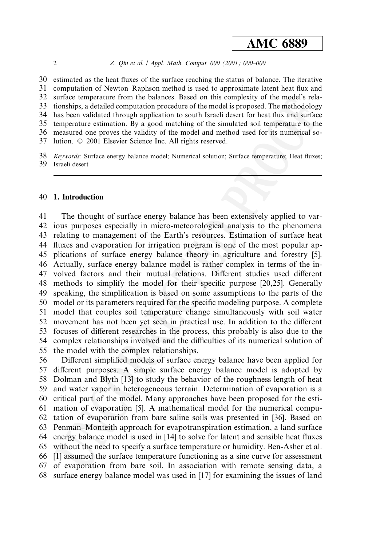#### Z. Qin et al. / Appl. Math. Comput. 000 (2001) 000-000

30 estimated as the heat fluxes of the surface reaching the status of balance. The iterative 31 computation of Newton–Raphson method is used to approximate latent heat flux and 32 surface temperature from the balances. Based on this complexity of the model's rela-33 tionships, a detailed computation procedure of the model is proposed. The methodology 34 has been validated through application to south Israeli desert for heat flux and surface 35 temperature estimation. By a good matching of the simulated soil temperature to the measured one proves the validity of the model and method used for its numerical so-36 37 lution. © 2001 Elsevier Science Inc. All rights reserved.

38 Keywords: Surface energy balance model; Numerical solution; Surface temperature; Heat fluxes; 39 Israeli desert

### 40 1. Introduction

41 The thought of surface energy balance has been extensively applied to var-42 jous purposes especially in micro-meteorological analysis to the phenomena relating to management of the Earth's resources. Estimation of surface heat 43 44 fluxes and evaporation for irrigation program is one of the most popular applications of surface energy balance theory in agriculture and forestry [5]. 45 46 Actually, surface energy balance model is rather complex in terms of the in-47 volved factors and their mutual relations. Different studies used different methods to simplify the model for their specific purpose [20,25]. Generally 48 speaking, the simplification is based on some assumptions to the parts of the 49 model or its parameters required for the specific modeling purpose. A complete 50 51 model that couples soil temperature change simultaneously with soil water 52 movement has not been yet seen in practical use. In addition to the different focuses of different researches in the process, this probably is also due to the 53 54 complex relationships involved and the difficulties of its numerical solution of 55 the model with the complex relationships.

56 Different simplified models of surface energy balance have been applied for 57 different purposes. A simple surface energy balance model is adopted by Dolman and Blyth [13] to study the behavior of the roughness length of heat 58 and water vapor in heterogeneous terrain. Determination of evaporation is a 59 critical part of the model. Many approaches have been proposed for the esti-60 mation of evaporation [5]. A mathematical model for the numerical compu-61 62 tation of evaporation from bare saline soils was presented in [36]. Based on Penman-Monteith approach for evapotranspiration estimation, a land surface 63 energy balance model is used in [14] to solve for latent and sensible heat fluxes 64 65 without the need to specify a surface temperature or humidity. Ben-Asher et al. 66 [1] assumed the surface temperature functioning as a sine curve for assessment of evaporation from bare soil. In association with remote sensing data, a 67 surface energy balance model was used in [17] for examining the issues of land 68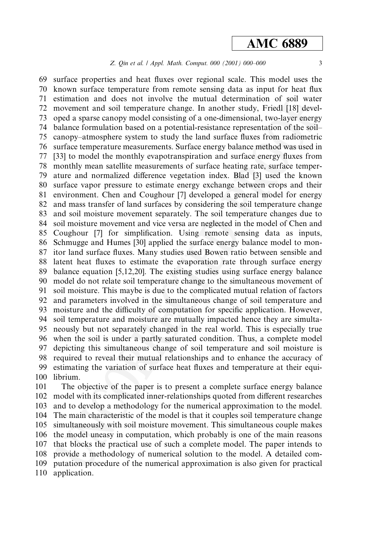### Z. Qin et al. | Appl. Math. Comput. 000 (2001) 000-000

surface properties and heat fluxes over regional scale. This model uses the 69 70 known surface temperature from remote sensing data as input for heat flux estimation and does not involve the mutual determination of soil water 71  $72$ movement and soil temperature change. In another study, Friedl [18] developed a sparse canopy model consisting of a one-dimensional, two-layer energy 73 balance formulation based on a potential-resistance representation of the soil-74 75 canopy-atmosphere system to study the land surface fluxes from radiometric surface temperature measurements. Surface energy balance method was used in 76 77 [33] to model the monthly evapotranspiration and surface energy fluxes from monthly mean satellite measurements of surface heating rate, surface temper-78 ature and normalized difference vegetation index. Blad [3] used the known 79 surface vapor pressure to estimate energy exchange between crops and their 80 environment. Chen and Coughour [7] developed a general model for energy 81 82 and mass transfer of land surfaces by considering the soil temperature change and soil moisture movement separately. The soil temperature changes due to 83 soil moisture movement and vice versa are neglected in the model of Chen and 84 Coughour [7] for simplification. Using remote sensing data as inputs, 85 Schmugge and Humes [30] applied the surface energy balance model to mon-86 itor land surface fluxes. Many studies used Bowen ratio between sensible and 87 88 latent heat fluxes to estimate the evaporation rate through surface energy 89 balance equation  $[5,12,20]$ . The existing studies using surface energy balance 90 model do not relate soil temperature change to the simultaneous movement of soil moisture. This maybe is due to the complicated mutual relation of factors 91 and parameters involved in the simultaneous change of soil temperature and 92 93 moisture and the difficulty of computation for specific application. However, 94 soil temperature and moisture are mutually impacted hence they are simultaneously but not separately changed in the real world. This is especially true 95 96 when the soil is under a partly saturated condition. Thus, a complete model depicting this simultaneous change of soil temperature and soil moisture is 97 98 required to reveal their mutual relationships and to enhance the accuracy of estimating the variation of surface heat fluxes and temperature at their equi-99 100 librium.

101 The objective of the paper is to present a complete surface energy balance model with its complicated inner-relationships quoted from different researches 102 103 and to develop a methodology for the numerical approximation to the model. The main characteristic of the model is that it couples soil temperature change 104 105 simultaneously with soil moisture movement. This simultaneous couple makes the model uneasy in computation, which probably is one of the main reasons 106 107 that blocks the practical use of such a complete model. The paper intends to 108 provide a methodology of numerical solution to the model. A detailed com-109 putation procedure of the numerical approximation is also given for practical 110 application.

 $\overline{3}$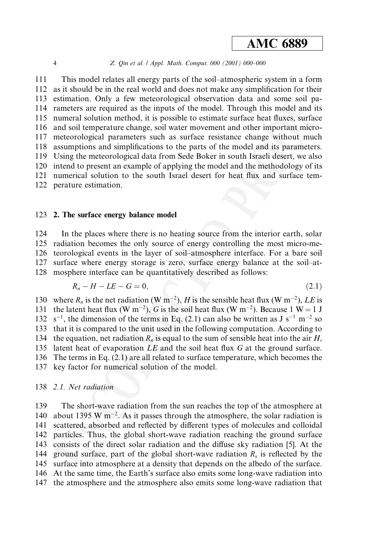#### Z. Qin et al. / Appl. Math. Comput. 000 (2001) 000-000

111 This model relates all energy parts of the soil-atmospheric system in a form  $112$ as it should be in the real world and does not make any simplification for their estimation. Only a few meteorological observation data and some soil pa- $113$ 114 rameters are required as the inputs of the model. Through this model and its 115 numeral solution method, it is possible to estimate surface heat fluxes, surface 116 and soil temperature change, soil water movement and other important micro-117 meteorological parameters such as surface resistance change without much 118 assumptions and simplifications to the parts of the model and its parameters. 119 Using the meteorological data from Sede Boker in south Israeli desert, we also 120 intend to present an example of applying the model and the methodology of its 121 numerical solution to the south Israel desert for heat flux and surface tem-122 perature estimation.

### 123 2. The surface energy balance model

124 In the places where there is no heating source from the interior earth, solar 125 radiation becomes the only source of energy controlling the most micro-meteorological events in the layer of soil-atmosphere interface. For a bare soil 126 surface where energy storage is zero, surface energy balance at the soil-at-127 mosphere interface can be quantitatively described as follows: 128

$$
R_n - H - LE - G = 0,\t\t(2.1)
$$

130 where  $R_n$  is the net radiation (W m<sup>-2</sup>), H is the sensible heat flux (W m<sup>-2</sup>), LE is the latent heat flux (W m<sup>-2</sup>), G is the soil heat flux (W m<sup>-2</sup>). Because 1 W = 1 J 131 132  $s^{-1}$ , the dimension of the terms in Eq. (2.1) can also be written as J  $s^{-1}$  m<sup>-2</sup> so 133 that it is compared to the unit used in the following computation. According to 134 the equation, net radiation  $R_n$  is equal to the sum of sensible heat into the air  $H$ . 135 latent heat of evaporation LE and the soil heat flux G at the ground surface. 136 The terms in Eq. (2.1) are all related to surface temperature, which becomes the 137 key factor for numerical solution of the model.

### 138 2.1. Net radiation

139 The short-wave radiation from the sun reaches the top of the atmosphere at about 1395 W  $\text{m}^{-2}$ . As it passes through the atmosphere, the solar radiation is 140 scattered, absorbed and reflected by different types of molecules and colloidal 141 particles. Thus, the global short-wave radiation reaching the ground surface 142 143 consists of the direct solar radiation and the diffuse sky radiation [5]. At the 144 ground surface, part of the global short-wave radiation  $R_s$  is reflected by the 145 surface into atmosphere at a density that depends on the albedo of the surface. 146 At the same time, the Earth's surface also emits some long-wave radiation into 147 the atmosphere and the atmosphere also emits some long-wave radiation that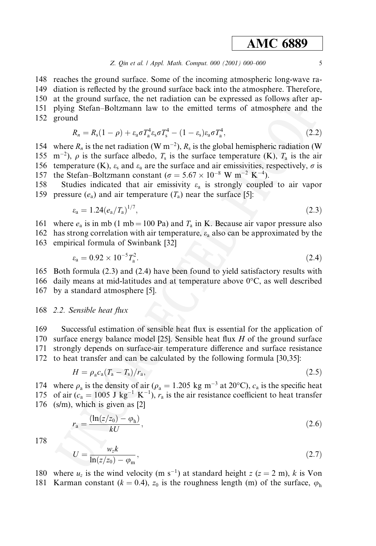148 reaches the ground surface. Some of the incoming atmospheric long-wave ra-149 diation is reflected by the ground surface back into the atmosphere. Therefore, 150 at the ground surface, the net radiation can be expressed as follows after ap-151 plying Stefan-Boltzmann law to the emitted terms of atmosphere and the 152 ground

$$
R_n = R_s(1 - \rho) + \varepsilon_a \sigma T_a^4 \varepsilon_s \sigma T_s^4 - (1 - \varepsilon_s) \varepsilon_a \sigma T_a^4, \qquad (2.2)
$$

154 where  $R_n$  is the net radiation (W m<sup>-2</sup>),  $R_s$  is the global hemispheric radiation (W 155 m<sup>-2</sup>),  $\rho$  is the surface albedo,  $T_s$  is the surface temperature (K),  $T_a$  is the air 156 temperature (K),  $\varepsilon_s$  and  $\varepsilon_a$  are the surface and air emissivities, respectively,  $\sigma$  is 157 the Stefan-Boltzmann constant ( $\sigma = 5.67 \times 10^{-8}$  W m<sup>-2</sup> K<sup>-4</sup>).

Studies indicated that air emissivity  $\varepsilon_a$  is strongly coupled to air vapor 158 159 pressure  $(e_a)$  and air temperature  $(T_a)$  near the surface [5]:

$$
\varepsilon_{\rm a} = 1.24 \left( e_{\rm a} / T_{\rm a} \right)^{1/7},\tag{2.3}
$$

161 where  $e_a$  is in mb (1 mb = 100 Pa) and  $T_a$  in K. Because air vapor pressure also

- 162 has strong correlation with air temperature,  $\varepsilon_a$  also can be approximated by the
- 163 empirical formula of Swinbank [32]

$$
\varepsilon_{\rm a} = 0.92 \times 10^{-5} T_{\rm a}^2. \tag{2.4}
$$

165 Both formula (2.3) and (2.4) have been found to yield satisfactory results with

166 daily means at mid-latitudes and at temperature above  $0^{\circ}$ C, as well described 167 by a standard atmosphere [5].

168 2.2. Sensible heat flux

169 Successful estimation of sensible heat flux is essential for the application of 170 surface energy balance model [25]. Sensible heat flux  $H$  of the ground surface 171 strongly depends on surface-air temperature difference and surface resistance 172 to heat transfer and can be calculated by the following formula [30,35]:

$$
H = \rho_a c_a (T_a - T_s) / r_a,\tag{2.5}
$$

174 where  $\rho_a$  is the density of air ( $\rho_a = 1.205$  kg m<sup>-3</sup> at 20°C),  $c_a$  is the specific heat 175 of air  $(c_a = 1005 \text{ J kg}^{-1} \text{ K}^{-1})$ ,  $r_a$  is the air resistance coefficient to heat transfer 176 (s/m), which is given as  $[2]$ 

$$
r_{\rm a} = \frac{(\ln(z/z_0) - \varphi_{\rm h})}{kU},\tag{2.6}
$$

178

$$
U = \frac{w_z k}{\ln(z/z_0) - \varphi_{\rm m}},\tag{2.7}
$$

180 where  $u_z$  is the wind velocity (m s<sup>-1</sup>) at standard height  $z$  ( $z = 2$  m), k is Von 181 Karman constant ( $k = 0.4$ ),  $z_0$  is the roughness length (m) of the surface,  $\varphi_h$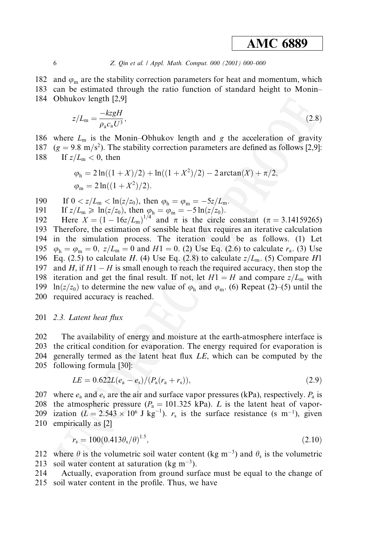182 and  $\varphi_m$  are the stability correction parameters for heat and momentum, which 183 can be estimated through the ratio function of standard height to Monin-184 Obhukov length [2,9]

$$
z/L_{\rm m} = \frac{-kzgH}{\rho_a c_a U^3},\tag{2.8}
$$

186 where  $L_m$  is the Monin-Obhukov length and g the acceleration of gravity 187  $(g = 9.8 \text{ m/s}^2)$ . The stability correction parameters are defined as follows [2,9]: 188 If  $z/L_m < 0$ , then

$$
\varphi_{\rm h} = 2\ln((1+X)/2) + \ln((1+X^2)/2) - 2\arctan(X) + \pi/2,
$$
  

$$
\varphi_{\rm m} = 2\ln((1+X^2)/2).
$$

If  $0 < z/L_m < \ln(z/z_0)$ , then  $\varphi_h = \varphi_m = -\frac{5z}{L_m}$ . 190

191 If 
$$
z/L_m \ge \ln(z/z_0)
$$
, then  $\varphi_h = \varphi_m = -5 \ln(z/z_0)$ .

Here  $X = (1 - 16z/L_m)^{1/4}$  and  $\pi$  is the circle constant ( $\pi = 3.14159265$ ) 192 193 Therefore, the estimation of sensible heat flux requires an iterative calculation 194 in the simulation process. The iteration could be as follows. (1) Let 195  $\varphi_h = \varphi_m = 0$ ,  $z/L_m = 0$  and  $H1 = 0$ . (2) Use Eq. (2.6) to calculate  $r_a$ . (3) Use 196 Eq. (2.5) to calculate H. (4) Use Eq. (2.8) to calculate  $z/L_m$ . (5) Compare H1 197 and H, if  $H1 - H$  is small enough to reach the required accuracy, then stop the 198 iteration and get the final result. If not, let  $H1 = H$  and compare  $z/L_m$  with 199 ln(z/z<sub>0</sub>) to determine the new value of  $\varphi_h$  and  $\varphi_m$ . (6) Repeat (2)–(5) until the 200 required accuracy is reached.

#### 201 2.3. Latent heat flux

202 The availability of energy and moisture at the earth-atmosphere interface is 203 the critical condition for evaporation. The energy required for evaporation is

204 generally termed as the latent heat flux LE, which can be computed by the

205 following formula [30]:

$$
LE = 0.622L(e_a - e_s)/(P_a(r_a + r_s)), \qquad (2.9)
$$

207 where  $e_a$  and  $e_s$  are the air and surface vapor pressures (kPa), respectively.  $P_a$  is 208 the atmospheric pressure ( $P_a = 101.325$  kPa). L is the latent heat of vapor-209 ization ( $L = 2.543 \times 10^6$  J kg<sup>-1</sup>).  $r_s$  is the surface resistance (s m<sup>-1</sup>), given 210 empirically as [2]

$$
r_s = 100(0.413\theta_s/\theta)^{1.5},\tag{2.10}
$$

212 where  $\theta$  is the volumetric soil water content (kg m<sup>-3</sup>) and  $\theta_s$  is the volumetric 213 soil water content at saturation ( $\text{kg m}^{-3}$ ).

214 Actually, evaporation from ground surface must be equal to the change of 215 soil water content in the profile. Thus, we have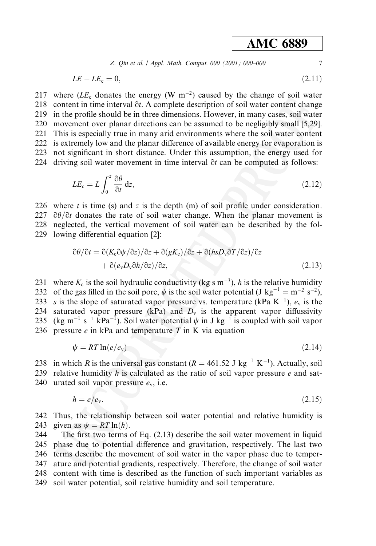Z. Qin et al. | Appl. Math. Comput. 000 (2001) 000-000

$$
LE - LE_{\rm c} = 0,\tag{2.11}
$$

217 where  $(LE_c$  donates the energy (W m<sup>-2</sup>) caused by the change of soil water 218 content in time interval  $\partial t$ . A complete description of soil water content change 219 in the profile should be in three dimensions. However, in many cases, soil water 220 movement over planar directions can be assumed to be negligibly small [5,29]. 221 This is especially true in many arid environments where the soil water content 222 is extremely low and the planar difference of available energy for evaporation is 223 not significant in short distance. Under this assumption, the energy used for 224 driving soil water movement in time interval  $\partial t$  can be computed as follows:

$$
LE_c = L \int_0^z \frac{\partial \theta}{\partial t} \, \mathrm{d}z,\tag{2.12}
$$

226 where  $t$  is time (s) and  $z$  is the depth (m) of soil profile under consideration. 227  $\partial\theta/\partial t$  donates the rate of soil water change. When the planar movement is 228 neglected, the vertical movement of soil water can be described by the fol-229 lowing differential equation [2]:

$$
\partial \theta / \partial t = \partial (K_c \partial \psi / \partial z) / \partial z + \partial (gK_c) / \partial z + \partial (h s D_v \partial T / \partial z) / \partial z + \partial (e_v D_v \partial h / \partial z) / \partial z,
$$
\n(2.13)

231 where  $K_c$  is the soil hydraulic conductivity (kg s m<sup>-3</sup>), h is the relative humidity 232 of the gas filled in the soil pore,  $\psi$  is the soil water potential (J kg<sup>-1</sup> = m<sup>-2</sup> s<sup>-2</sup>), 233 s is the slope of saturated vapor pressure vs. temperature (kPa K<sup>-1</sup>),  $e_y$  is the 234 saturated vapor pressure (kPa) and  $D_v$  is the apparent vapor diffussivity 235 (kg m<sup>-1</sup> s<sup>-1</sup> kPa<sup>-1</sup>). Soil water potential  $\psi$  in J kg<sup>-1</sup> is coupled with soil vapor 236 pressure  $e$  in kPa and temperature  $\overline{T}$  in K via equation

$$
\psi = RT \ln(e/e_{\rm v}) \tag{2.14}
$$

238 in which R is the universal gas constant ( $R = 461.52$  J kg<sup>-1</sup> K<sup>-1</sup>). Actually, soil

239 relative humidity h is calculated as the ratio of soil vapor pressure  $e$  and sat-240 urated soil vapor pressure  $e_y$ , i.e.

$$
h = e/e_v. \tag{2.15}
$$

242 Thus, the relationship between soil water potential and relative humidity is 243 given as  $\psi = RT \ln(h)$ .

244 The first two terms of Eq.  $(2.13)$  describe the soil water movement in liquid 245 phase due to potential difference and gravitation, respectively. The last two 246 terms describe the movement of soil water in the vapor phase due to temper-247 ature and potential gradients, respectively. Therefore, the change of soil water 248 content with time is described as the function of such important variables as 249 soil water potential, soil relative humidity and soil temperature.

 $\overline{7}$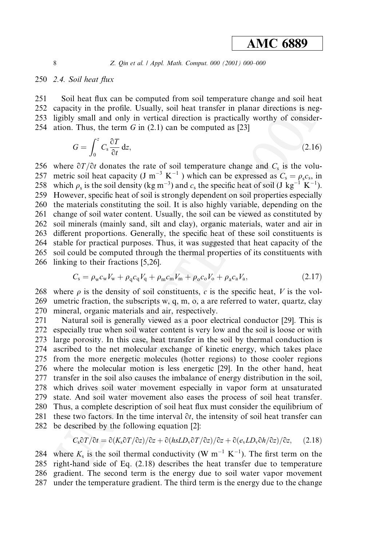Z. Qin et al.  $\ell$  Appl. Math. Comput. 000 (2001) 000-000

### 250 2.4. Soil heat flux

251 Soil heat flux can be computed from soil temperature change and soil heat 252 capacity in the profile. Usually, soil heat transfer in planar directions is negligibly small and only in vertical direction is practically worthy of consider-253 ation. Thus, the term  $G$  in  $(2.1)$  can be computed as [23] 254

$$
G = \int_0^z C_s \frac{\partial T}{\partial t} \, \mathrm{d}z,\tag{2.16}
$$

256 where  $\frac{\partial T}{\partial t}$  donates the rate of soil temperature change and  $C_s$  is the volumetric soil heat capacity (J m<sup>-3</sup> K<sup>-1</sup>) which can be expressed as  $C_s = \rho_s c_s$ , in 257 258 which  $\rho_s$  is the soil density (kg m<sup>-3</sup>) and  $c_s$  the specific heat of soil (J kg<sup>-1</sup> K<sup>-1</sup>). 259 However, specific heat of soil is strongly dependent on soil properties especially 260 the materials constituting the soil. It is also highly variable, depending on the 261 change of soil water content. Usually, the soil can be viewed as constituted by 262 soil minerals (mainly sand, silt and clay), organic materials, water and air in different proportions. Generally, the specific heat of these soil constituents is 263 264 stable for practical purposes. Thus, it was suggested that heat capacity of the 265 soil could be computed through the thermal properties of its constituents with 266 linking to their fractions [5,26].

$$
C_{\rm s} = \rho_{\rm w} c_{\rm w} V_{\rm w} + \rho_{\rm q} c_{\rm q} V_{\rm q} + \rho_{\rm m} c_{\rm m} V_{\rm m} + \rho_{\rm o} c_{\rm o} V_{\rm o} + \rho_{\rm a} c_{\rm a} V_{\rm a},\tag{2.17}
$$

268 where  $\rho$  is the density of soil constituents, c is the specific heat, V is the vol-269 umetric fraction, the subscripts  $w$ ,  $q$ ,  $m$ ,  $o$ ,  $a$  are referred to water, quartz, clay mineral, organic materials and air, respectively. 270

271 Natural soil is generally viewed as a poor electrical conductor [29]. This is 272 especially true when soil water content is very low and the soil is loose or with 273 large porosity. In this case, heat transfer in the soil by thermal conduction is 274 ascribed to the net molecular exchange of kinetic energy, which takes place 275 from the more energetic molecules (hotter regions) to those cooler regions 276 where the molecular motion is less energetic [29]. In the other hand, heat 277 transfer in the soil also causes the imbalance of energy distribution in the soil, 278 which drives soil water movement especially in vapor form at unsaturated 279 state. And soil water movement also eases the process of soil heat transfer. 280 Thus, a complete description of soil heat flux must consider the equilibrium of 281 these two factors. In the time interval  $\partial t$ , the intensity of soil heat transfer can 282 be described by the following equation [2]:

$$
C_s \frac{\partial T}{\partial t} = \frac{\partial (K_s \frac{\partial T}{\partial z})}{\partial z} + \frac{\partial (h s L D_v \frac{\partial T}{\partial z})}{\partial z} + \frac{\partial (e_v L D_v \frac{\partial h}{\partial z})}{\partial z}, \quad (2.18)
$$

where  $K_s$  is the soil thermal conductivity (W m<sup>-1</sup> K<sup>-1</sup>). The first term on the 284 right-hand side of Eq. (2.18) describes the heat transfer due to temperature 285 286 gradient. The second term is the energy due to soil water vapor movement 287 under the temperature gradient. The third term is the energy due to the change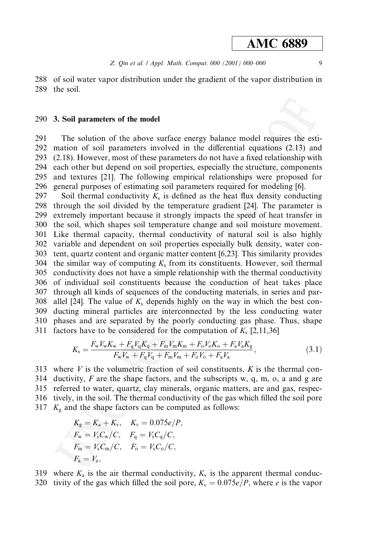$\overline{9}$ 

288 of soil water vapor distribution under the gradient of the vapor distribution in 289 the soil.

#### 290 3. Soil parameters of the model

291 The solution of the above surface energy balance model requires the esti-292 mation of soil parameters involved in the differential equations (2.13) and 293 (2.18). However, most of these parameters do not have a fixed relationship with 294 each other but depend on soil properties, especially the structure, components 295 and textures [21]. The following empirical relationships were proposed for 296 general purposes of estimating soil parameters required for modeling [6].

297 Soil thermal conductivity  $K_s$  is defined as the heat flux density conducting 298 through the soil divided by the temperature gradient [24]. The parameter is 299 extremely important because it strongly impacts the speed of heat transfer in 300 the soil, which shapes soil temperature change and soil moisture movement. 301 Like thermal capacity, thermal conductivity of natural soil is also highly 302 variable and dependent on soil properties especially bulk density, water con-303 tent, quartz content and organic matter content [6,23]. This similarity provides 304 the similar way of computing  $K_s$  from its constituents. However, soil thermal 305 conductivity does not have a simple relationship with the thermal conductivity 306 of individual soil constituents because the conduction of heat takes place 307 through all kinds of sequences of the conducting materials, in series and par-308 allel [24]. The value of  $K_s$  depends highly on the way in which the best conducting mineral particles are interconnected by the less conducting water 309 310 phases and are separated by the poorly conducting gas phase. Thus, shape 311 factors have to be considered for the computation of  $K_s$  [2,11,36]

$$
K_{\rm s} = \frac{F_{\rm w}V_{\rm w}K_{\rm w} + F_{\rm q}V_{\rm q}K_{\rm q} + F_{\rm m}V_{\rm m}K_{\rm m} + F_{\rm o}V_{\rm o}K_{\rm o} + F_{\rm a}V_{\rm a}K_{\rm g}}{F_{\rm w}V_{\rm w} + F_{\rm q}V_{\rm q} + F_{\rm m}V_{\rm m} + F_{\rm o}V_{\rm o} + F_{\rm a}V_{\rm a}}\,,\tag{3.1}
$$

313 where  $V$  is the volumetric fraction of soil constituents,  $K$  is the thermal con-314 ductivity,  $F$  are the shape factors, and the subscripts w, q, m, o, a and g are 315 referred to water, quartz, clay minerals, organic matters, are and gas, respec-316 tively, in the soil. The thermal conductivity of the gas which filled the soil pore 317  $K_g$  and the shape factors can be computed as follows:

$$
K_{\rm g} = K_{\rm a} + K_{\rm v}, \quad K_{\rm v} = 0.075e/P
$$
  
\n
$$
F_{\rm w} = V_{\rm s}C_{\rm w}/C, \quad F_{\rm q} = V_{\rm s}C_{\rm q}/C,
$$
  
\n
$$
F_{\rm m} = V_{\rm s}C_{\rm m}/C, \quad F_{\rm o} = V_{\rm s}C_{\rm o}/C,
$$
  
\n
$$
F_{\rm a} = V_{\rm a},
$$

319 where  $K_a$  is the air thermal conductivity,  $K_v$  is the apparent thermal conduc-320 tivity of the gas which filled the soil pore,  $K_v = 0.075e/P$ , where e is the vapor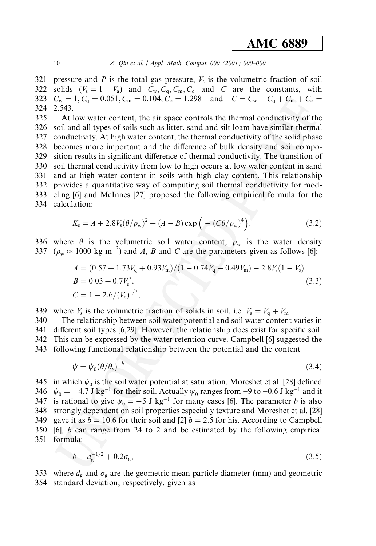#### Z. Qin et al. / Appl. Math. Comput. 000 (2001) 000-000

321 pressure and P is the total gas pressure,  $V_s$  is the volumetric fraction of soil solids  $(V_s = 1 - V_a)$  and  $C_w, C_q, C_m, C_o$  and C are the constants, with 322  $C_w = 1, C_q = 0.051, C_m = 0.104, C_o = 1.298$  and  $C = C_w + C_q + C_m + C_o =$ 323 324 2.543.

325 At low water content, the air space controls the thermal conductivity of the 326 soil and all types of soils such as litter, sand and silt loam have similar thermal 327 conductivity. At high water content, the thermal conductivity of the solid phase 328 becomes more important and the difference of bulk density and soil compo-329 sition results in significant difference of thermal conductivity. The transition of 330 soil thermal conductivity from low to high occurs at low water content in sand 331 and at high water content in soils with high clay content. This relationship 332 provides a quantitative way of computing soil thermal conductivity for mod-333 eling [6] and McInnes [27] proposed the following empirical formula for the 334 calculation:

$$
K_{\rm s} = A + 2.8 V_{\rm s} (\theta / \rho_{\rm w})^2 + (A - B) \exp \left( - (C \theta / \rho_{\rm w})^4 \right), \tag{3.2}
$$

336 where  $\theta$  is the volumetric soil water content,  $\rho_w$  is the water density 337 ( $\rho_w \approx 1000 \text{ kg m}^{-3}$ ) and A, B and C are the parameters given as follows [6]:

$$
A = (0.57 + 1.73Vq + 0.93Vm)/(1 - 0.74Vq - 0.49Vm) - 2.8Vs(1 - Vs)
$$
  
\n
$$
B = 0.03 + 0.7Vs2,
$$
  
\n
$$
C = 1 + 2.6/(Vc)1/2,
$$
\n(3.3)

339 where  $V_s$  is the volumetric fraction of solids in soil, i.e.  $V_s = V_q + V_m$ .

340 The relationship between soil water potential and soil water content varies in 341 different soil types [6,29]. However, the relationship does exist for specific soil. 342 This can be expressed by the water retention curve. Campbell [6] suggested the 343 following functional relationship between the potential and the content

$$
\psi = \psi_0 (\theta/\theta_s)^{-b} \tag{3.4}
$$

345 in which  $\psi_0$  is the soil water potential at saturation. Moreshet et al. [28] defined 346  $\psi_0 = -4.7$  J kg<sup>-1</sup> for their soil. Actually  $\psi_0$  ranges from -9 to -0.6 J kg<sup>-1</sup> and it is rational to give  $\psi_0 = -5$  J kg<sup>-1</sup> for many cases [6]. The parameter *b* is also 347 348 strongly dependent on soil properties especially texture and Moreshet et al. [28] 349 gave it as  $b = 10.6$  for their soil and [2]  $b = 2.5$  for his. According to Campbell 350 [6], b can range from 24 to 2 and be estimated by the following empirical 351 formula:

$$
b = d_g^{-1/2} + 0.2\sigma_g,\tag{3.5}
$$

353 where  $d_g$  and  $\sigma_g$  are the geometric mean particle diameter (mm) and geometric 354 standard deviation, respectively, given as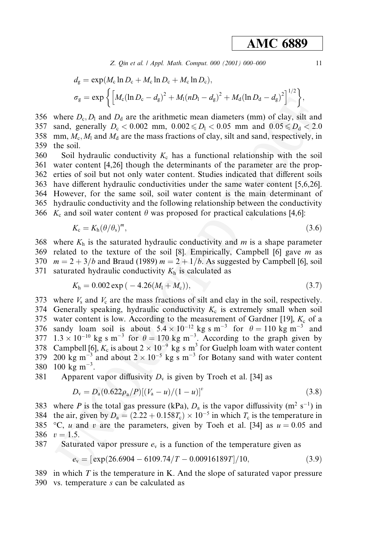Z. Qin et al. | Appl. Math. Comput. 000 (2001) 000-000

$$
d_{g} = \exp(M_{c} \ln D_{c} + M_{c} \ln D_{c} + M_{c} \ln D_{c}),
$$
  
\n
$$
\sigma_{g} = \exp\left\{ \left[ M_{c} (\ln D_{c} - d_{g})^{2} + M_{1} (nD_{1} - d_{g})^{2} + M_{d} (\ln D_{d} - d_{g})^{2} \right]^{1/2} \right\},\right\}
$$

356 where  $D_c$ ,  $D_1$  and  $D_d$  are the arithmetic mean diameters (mm) of clay, silt and 357 sand, generally  $D_c < 0.002$  mm,  $0.002 \le D_1 < 0.05$  mm and  $0.05 \le D_d < 2.0$ 358 mm,  $M_c$ ,  $M_1$  and  $M_d$  are the mass fractions of clay, silt and sand, respectively, in 359 the soil.

Soil hydraulic conductivity  $K_c$  has a functional relationship with the soil 360 361 water content [4,26] though the determinants of the parameter are the prop-362 erties of soil but not only water content. Studies indicated that different soils 363 have different hydraulic conductivities under the same water content [5,6,26]. 364 However, for the same soil, soil water content is the main determinant of 365 hydraulic conductivity and the following relationship between the conductivity 366  $K_c$  and soil water content  $\theta$  was proposed for practical calculations [4,6]:

$$
K_{\rm c}=K_{\rm h}(\theta/\theta_{\rm s})^m,\tag{3.6}
$$

368 where  $K<sub>h</sub>$  is the saturated hydraulic conductivity and m is a shape parameter 369 related to the texture of the soil [8]. Empirically, Campbell [6] gave  $m$  as 370  $m = 2 + 3/b$  and Braud (1989)  $m = 2 + 1/b$ . As suggested by Campbell [6], soil 371 saturated hydraulic conductivity  $K<sub>h</sub>$  is calculated as

$$
K_{\rm h} = 0.002 \exp\left(-4.26(M_1 + M_{\rm c})\right),\tag{3.7}
$$

373 where  $V_s$  and  $V_c$  are the mass fractions of silt and clay in the soil, respectively. 374 Generally speaking, hydraulic conductivity  $K_c$  is extremely small when soil 375 water content is low. According to the measurement of Gardner [19],  $K_c$  of a 376 sandy loam soil is about  $5.4 \times 10^{-12}$  kg s m<sup>-3</sup> for  $\theta = 110$  kg m<sup>-3</sup> and 377  $1.3 \times 10^{-10}$  kg s m<sup>-3</sup> for  $\theta = 170$  kg m<sup>-3</sup>. According to the graph given by 378 Campbell [6],  $K_c$  is about  $2 \times 10^{-9}$  kg s m<sup>3</sup> for Guelph loam with water content 379 200 kg m<sup>-3</sup> and about  $2 \times 10^{-5}$  kg s m<sup>-3</sup> for Botany sand with water content 380 100 kg m<sup>-3</sup>.

381 Apparent vapor diffusivity  $D_v$  is given by Troeh et al. [34] as

$$
D_{\rm v} = D_{\rm a}(0.622\rho_{\rm a}/P)[(V_{\rm a} - u)/(1 - u)]^{v} \tag{3.8}
$$

383 where P is the total gas pressure (kPa),  $D_a$  is the vapor diffussivity (m<sup>2</sup> s<sup>-1</sup>) in 384 the air, given by  $D_a = (2.22 + 0.158T_c) \times 10^{-5}$  in which  $T_c$  is the temperature in 385 °C, u and v are the parameters, given by Toeh et al. [34] as  $u = 0.05$  and 386  $v = 1.5$ .

387 Saturated vapor pressure  $e_v$  is a function of the temperature given as

> $e_v = [\exp(26.6904 - 6109.74/T - 0.00916189T)/10,$  $(3.9)$

389 in which  $T$  is the temperature in K. And the slope of saturated vapor pressure 390 vs. temperature s can be calculated as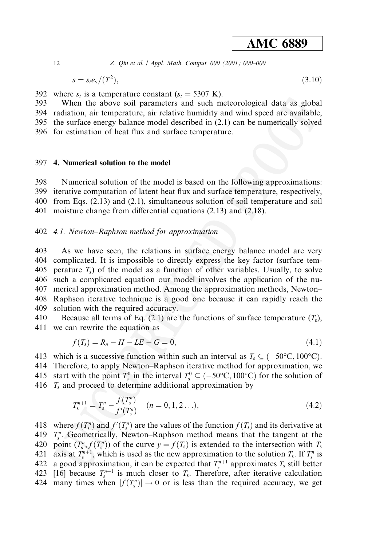Z. Qin et al. | Appl. Math. Comput. 000 (2001) 000-000

$$
s = s_t e_v / (T^2), \tag{3.10}
$$

392 where  $s_t$  is a temperature constant  $(s_t = 5307 \text{ K})$ .

When the above soil parameters and such meteorological data as global 393 394 radiation, air temperature, air relative humidity and wind speed are available,

395 the surface energy balance model described in (2.1) can be numerically solved 396 for estimation of heat flux and surface temperature.

### 397 4. Numerical solution to the model

398 Numerical solution of the model is based on the following approximations: 399 iterative computation of latent heat flux and surface temperature, respectively, 400 from Eqs.  $(2.13)$  and  $(2.1)$ , simultaneous solution of soil temperature and soil 401 moisture change from differential equations (2.13) and (2.18).

402 4.1. Newton–Raphson method for approximation

403 As we have seen, the relations in surface energy balance model are very 404 complicated. It is impossible to directly express the key factor (surface tem-405 perature  $T_s$ ) of the model as a function of other variables. Usually, to solve 406 such a complicated equation our model involves the application of the nu-407 merical approximation method. Among the approximation methods, Newton-408 Raphson iterative technique is a good one because it can rapidly reach the 409 solution with the required accuracy.

410 Because all terms of Eq. (2.1) are the functions of surface temperature  $(T_s)$ , 411 we can rewrite the equation as

$$
f(T_{s}) = R_{n} - H - LE - G = 0, \tag{4.1}
$$

- 413 which is a successive function within such an interval as  $T_s \subseteq (-50^{\circ} \text{C}, 100^{\circ} \text{C})$ .
- 414 Therefore, to apply Newton-Raphson iterative method for approximation, we
- 415 start with the point  $T_s^0$  in the interval  $T_s^0 \subseteq (-50^{\circ}\text{C}, 100^{\circ}\text{C})$  for the solution of
- 416  $T_s$  and proceed to determine additional approximation by

$$
T_s^{n+1} = T_s^n - \frac{f(T_s^n)}{f'(T_s^n)} \quad (n = 0, 1, 2 \ldots), \tag{4.2}
$$

418 where  $f(T_s^n)$  and  $f'(T_s^n)$  are the values of the function  $f(T_s)$  and its derivative at 419  $T_s^n$ . Geometrically, Newton-Raphson method means that the tangent at the 420 point  $(T_s^n, f(T_s^n))$  of the curve  $y = f(T_s)$  is extended to the intersection with  $T_s$ 421 axis at  $T_s^{n+1}$ , which is used as the new approximation to the solution  $T_s$ . If  $T_s^n$  is a good approximation, it can be expected that  $T_s^{n+1}$  approximates  $T_s$  still better 422 423 [16] because  $T_s^{n+1}$  is much closer to  $T_s$ . Therefore, after iterative calculation 424 many times when  $|\bar{f}(T_s^n)| \to 0$  or is less than the required accuracy, we get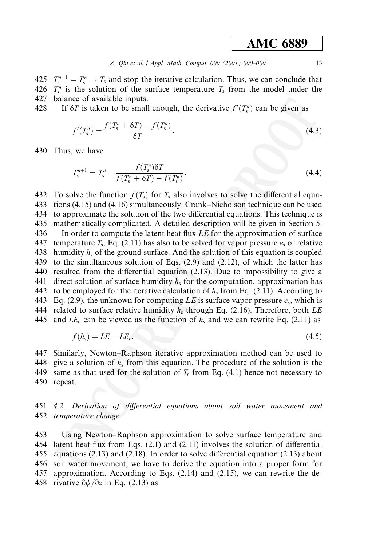$T_s^{n+1} = T_s^n \rightarrow T_s$  and stop the iterative calculation. Thus, we can conclude that 425 426  $T_s^n$  is the solution of the surface temperature  $T_s$  from the model under the 427 balance of available inputs.

428 If  $\delta T$  is taken to be small enough, the derivative  $f'(T_c^n)$  can be given as

$$
f'(T_s^n) = \frac{f(T_s^n + \delta T) - f(T_s^n)}{\delta T}.
$$
\n
$$
(4.3)
$$

430 Thus, we have

$$
T_s^{n+1} = T_s^n - \frac{f(T_s^n)\delta T}{f(T_s^n + \delta T) - f(T_s^n)}.
$$
\n(4.4)

432 To solve the function  $f(T_s)$  for  $T_s$  also involves to solve the differential equa-433 tions (4.15) and (4.16) simultaneously. Crank–Nicholson technique can be used 434 to approximate the solution of the two differential equations. This technique is 435 mathematically complicated. A detailed description will be given in Section 5. 436 In order to compute the latent heat flux LE for the approximation of surface 437 temperature  $T_s$ , Eq. (2.11) has also to be solved for vapor pressure  $e_s$  or relative 438 humidity  $h_s$  of the ground surface. And the solution of this equation is coupled 439 to the simultaneous solution of Eqs.  $(2.9)$  and  $(2.12)$ , of which the latter has 440 resulted from the differential equation (2.13). Due to impossibility to give a direct solution of surface humidity  $h_s$  for the computation, approximation has 441 442 to be employed for the iterative calculation of  $h_s$  from Eq. (2.11). According to 443 Eq. (2.9), the unknown for computing LE is surface vapor pressure  $e_s$ , which is 444 related to surface relative humidity  $h_s$  through Eq. (2.16). Therefore, both LE 445 and  $LE_c$  can be viewed as the function of  $h_s$  and we can rewrite Eq. (2.11) as

$$
f(h_s) = LE - LE_c.
$$
\n
$$
(4.5)
$$

447 Similarly, Newton-Raphson iterative approximation method can be used to give a solution of  $h_s$  from this equation. The procedure of the solution is the 448 449 same as that used for the solution of  $T_s$  from Eq. (4.1) hence not necessary to 450 repeat.

451 4.2. Derivation of differential equations about soil water movement and 452 temperature change

453 Using Newton–Raphson approximation to solve surface temperature and 454 latent heat flux from Eqs. (2.1) and (2.11) involves the solution of differential 455 equations  $(2.13)$  and  $(2.18)$ . In order to solve differential equation  $(2.13)$  about 456 soil water movement, we have to derive the equation into a proper form for 457 approximation. According to Eqs.  $(2.14)$  and  $(2.15)$ , we can rewrite the de-458 rivative  $\partial \psi / \partial z$  in Eq. (2.13) as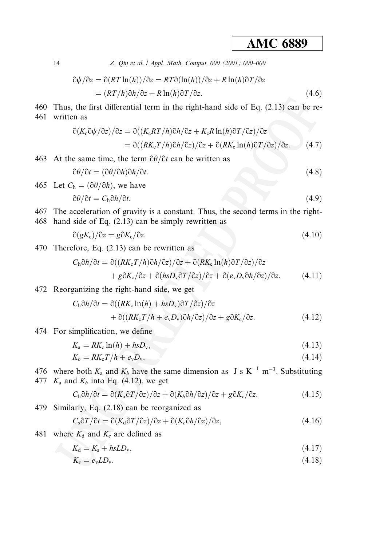Z. Qin et al. / Appl. Math. Comput. 000 (2001) 000-000

$$
\partial \psi / \partial z = \partial (RT \ln(h)) / \partial z = RT \partial (\ln(h)) / \partial z + R \ln(h) \partial T / \partial z
$$
  
= 
$$
(RT/h) \partial h / \partial z + R \ln(h) \partial T / \partial z.
$$
 (4.6)

460 Thus, the first differential term in the right-hand side of Eq. (2.13) can be re-461 written as

$$
\partial (K_c \partial \psi / \partial z) / \partial z = \partial ((K_c R T / h) \partial h / \partial z + K_c R \ln(h) \partial T / \partial z) / \partial z
$$
  
= 
$$
\partial ((R K_c T / h) \partial h / \partial z) / \partial z + \partial (R K_c \ln(h) \partial T / \partial z) / \partial z.
$$
 (4.7)

463 At the same time, the term  $\partial \theta / \partial t$  can be written as

$$
\partial \theta / \partial t = (\partial \theta / \partial h) \partial h / \partial t. \tag{4.8}
$$

465 Let 
$$
C_h = (\partial \theta / \partial h)
$$
, we have  
\n
$$
\partial \theta / \partial t = C_h \partial h / \partial t.
$$
\n(4.9)

467 The acceleration of gravity is a constant. Thus, the second terms in the right-468 hand side of Eq.  $(2.13)$  can be simply rewritten as

$$
\partial(gK_c)/\partial z = g\partial K_c/\partial z. \tag{4.10}
$$

470 Therefore, Eq. (2.13) can be rewritten as

$$
C_{\rm h}\partial h/\partial t = \partial((RK_{\rm c}T/h)\partial h/\partial z)/\partial z + \partial(RK_{\rm c}\ln(h)\partial T/\partial z)/\partial z
$$
  
+  $g\partial K_{\rm c}/\partial z + \partial(hsD_{\rm v}\partial T/\partial z)/\partial z + \partial(e_{\rm v}D_{\rm v}\partial h/\partial z)/\partial z.$  (4.11)

472 Reorganizing the right-hand side, we get

$$
C_{\rm h}\partial h/\partial t = \partial((RK_{\rm c}\ln(h) + hsD_{\rm v})\partial T/\partial z)/\partial z + \partial((RK_{\rm c}T/h + e_{\rm v}D_{\rm v})\partial h/\partial z)/\partial z + g\partial K_{\rm c}/\partial z.
$$
 (4.12)

474 For simplification, we define

$$
K_{\rm a}=RK_{\rm c}\ln(h)+h s D_{\rm v},\tag{4.13}
$$

$$
K_b = RK_c T/h + e_v D_v,\tag{4.14}
$$

- 476 where both  $K_a$  and  $K_b$  have the same dimension as J s K<sup>-1</sup> m<sup>-3</sup>. Substituting
- 477  $K_a$  and  $K_b$  into Eq. (4.12), we get

$$
C_{\rm h}\partial h/\partial t = \partial (K_{\rm a}\partial T/\partial z)/\partial z + \partial (K_{\rm b}\partial h/\partial z)/\partial z + g\partial K_{\rm c}/\partial z.
$$
 (4.15)

479 Similarly, Eq. (2.18) can be reorganized as

$$
C_s \partial T / \partial t = \partial (K_d \partial T / \partial z) / \partial z + \partial (K_e \partial h / \partial z) / \partial z,
$$
\n(4.16)

481 where  $K_d$  and  $K_e$  are defined as

$$
K_{\rm d} = K_{\rm s} + h s L D_{\rm v},\tag{4.17}
$$

$$
K_e = e_v L D_v. \tag{4.18}
$$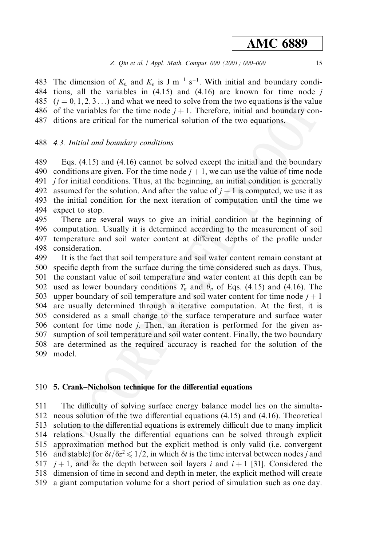483 The dimension of  $K_d$  and  $K_e$  is J m<sup>-1</sup> s<sup>-1</sup>. With initial and boundary condi-484 tions, all the variables in  $(4.15)$  and  $(4.16)$  are known for time node j 485  $(i = 0, 1, 2, 3...)$  and what we need to solve from the two equations is the value 486 of the variables for the time node  $j + 1$ . Therefore, initial and boundary con-487 ditions are critical for the numerical solution of the two equations.

### 488 4.3. Initial and boundary conditions

Eqs.  $(4.15)$  and  $(4.16)$  cannot be solved except the initial and the boundary 489 490 conditions are given. For the time node  $i + 1$ , we can use the value of time node 491 *i* for initial conditions. Thus, at the beginning, an initial condition is generally 492 assumed for the solution. And after the value of  $i + 1$  is computed, we use it as 493 the initial condition for the next iteration of computation until the time we 494 expect to stop.

495 There are several ways to give an initial condition at the beginning of 496 computation. Usually it is determined according to the measurement of soil 497 temperature and soil water content at different depths of the profile under 498 consideration.

499 It is the fact that soil temperature and soil water content remain constant at 500 specific depth from the surface during the time considered such as days. Thus, 501 the constant value of soil temperature and water content at this depth can be used as lower boundary conditions  $T_n$  and  $\theta_n$  of Eqs. (4.15) and (4.16). The 502 upper boundary of soil temperature and soil water content for time node  $j + 1$ 503 are usually determined through a iterative computation. At the first, it is 504 505 considered as a small change to the surface temperature and surface water 506 content for time node *i*. Then, an iteration is performed for the given assumption of soil temperature and soil water content. Finally, the two boundary 507 508 are determined as the required accuracy is reached for the solution of the 509 model.

### 510 5. Crank–Nicholson technique for the differential equations

511 The difficulty of solving surface energy balance model lies on the simulta-512 neous solution of the two differential equations (4.15) and (4.16). Theoretical solution to the differential equations is extremely difficult due to many implicit 513 relations. Usually the differential equations can be solved through explicit 514 515 approximation method but the explicit method is only valid (*i.e.* convergent 516 and stable) for  $\delta t / \delta z^2 \leq 1/2$ , in which  $\delta t$  is the time interval between nodes *j* and  $j+1$ , and  $\delta z$  the depth between soil layers i and  $i+1$  [31]. Considered the 517 dimension of time in second and depth in meter, the explicit method will create 518 519 a giant computation volume for a short period of simulation such as one day.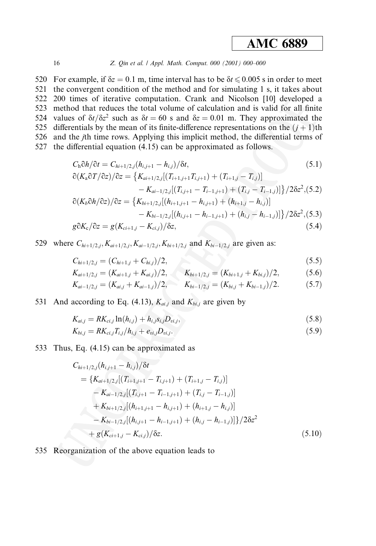#### Z. Qin et al. / Appl. Math. Comput. 000 (2001) 000-000

520 For example, if  $\delta z = 0.1$  m, time interval has to be  $\delta t \le 0.005$  s in order to meet 521 the convergent condition of the method and for simulating 1 s, it takes about 522 200 times of iterative computation. Crank and Nicolson [10] developed a 523 method that reduces the total volume of calculation and is valid for all finite 524 values of  $\delta t/\delta z^2$  such as  $\delta t = 60$  s and  $\delta z = 0.01$  m. They approximated the 525 differentials by the mean of its finite-difference representations on the  $(i + 1)$ th 526 and the *j*th time rows. Applying this implicit method, the differential terms of 527 the differential equation (4.15) can be approximated as follows.

$$
C_{\rm h}\partial h/\partial t = C_{hi+1/2,j}(h_{i,j+1} - h_{i,j})/\delta t,
$$
\n
$$
\partial (K_{\rm a}\partial T/\partial z)/\partial z = \{K_{ai+1/2,j}[(T_{i+1,j+1}T_{i,j+1}) + (T_{i+1,j} - T_{i,j})]
$$
\n
$$
- K_{ai-1/2,j}[(T_{i,j+1} - T_{i-1,j+1}) + (T_{i,j} - T_{i-1,j})]\}/2\delta z^2, (5.2)
$$
\n
$$
\partial (K_b\partial h/\partial z)/\partial z = \{K_{bi+1/2,j}[(h_{i+1,j+1} - h_{i,j+1}) + (h_{i+1,j} - h_{i,j})]
$$
\n(5.1)

$$
-K_{bi-1/2,j}[(h_{i,j+1}-h_{i-1,j+1})+(h_{i,j}-h_{i-1,j})]\}/2\delta z^2,(5.3)
$$

$$
g\partial K_{c}/\partial z = g(K_{ci+1,j} - K_{ci,j})/\delta z, \qquad (5.4)
$$

529 where  $C_{hi+1/2,j}$ ,  $K_{ai+1/2,j}$ ,  $K_{ai-1/2,j}$ ,  $K_{bi+1/2,j}$  and  $K_{bi-1/2,j}$  are given as:

$$
C_{hi+1/2,j} = (C_{hi+1,j} + C_{hi,j})/2, \tag{5.5}
$$

$$
K_{ai+1/2,j} = (K_{ai+1,j} + K_{ai,j})/2, \qquad K_{bi+1/2,j} = (K_{bi+1,j} + K_{bi,j})/2,\tag{5.6}
$$

$$
K_{ai-1/2,j} = (K_{ai,j} + K_{ai-1,j})/2, \qquad K_{bi-1/2,j} = (K_{bi,j} + K_{bi-1,j})/2.
$$
 (5.7)

531 And according to Eq. (4.13),  $K_{ai,j}$  and  $K_{bi,j}$  are given by

$$
K_{ai,j} = RK_{ci,j} \ln(h_{i,j}) + h_{i,j} s_{i,j} D_{vi,j}, \qquad (5.8)
$$

$$
K_{bi,j} = RK_{ci,j}T_{i,j}/h_{i,j} + e_{vi,j}D_{vi,j}.
$$
\n(5.9)

533 Thus, Eq. (4.15) can be approximated as

$$
C_{hi+1/2,j}(h_{i,j+1} - h_{i,j})/\delta t
$$
  
= { $K_{ai+1/2,j}[(T_{i+1,j+1} - T_{i,j+1}) + (T_{i+1,j} - T_{i,j})]$   
-  $K_{ai-1/2,j}[(T_{i,j+1} - T_{i-1,j+1}) + (T_{i,j} - T_{i-1,j})]$   
+  $K_{bi+1/2,j}[(h_{i+1,j+1} - h_{i,j+1}) + (h_{i+1,j} - h_{i,j})]$   
-  $K_{bi-1/2,j}[(h_{i,j+1} - h_{i-1,j+1}) + (h_{i,j} - h_{i-1,j})]\}/2\delta z^2$   
+  $g(K_{ci+1,j} - K_{ci,j})/\delta z$ . (5.10)

535 Reorganization of the above equation leads to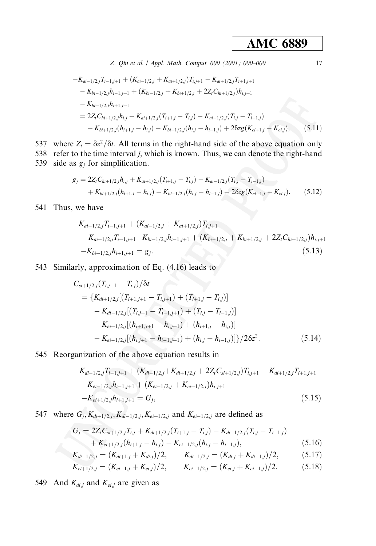Z. Qin et al. / Appl. Math. Comput. 000 (2001) 000-000

$$
-K_{ai-1/2,j}T_{i-1,j+1} + (K_{ai-1/2,j} + K_{ai+1/2,j})T_{i,j+1} - K_{ai+1/2,j}T_{i+1,j+1}
$$
  
\n
$$
- K_{bi-1/2,j}h_{i-1,j+1} + (K_{bi-1/2,j} + K_{bi+1/2,j} + 2Z_t C_{hi+1/2,j})h_{i,j+1}
$$
  
\n
$$
- K_{bi+1/2,j}h_{i+1,j+1}
$$
  
\n
$$
= 2Z_t C_{hi+1/2,j}h_{i,j} + K_{ai+1/2,j}(T_{i+1,j} - T_{i,j}) - K_{ai-1/2,j}(T_{i,j} - T_{i-1,j})
$$
  
\n
$$
+ K_{bi+1/2,j}(h_{i+1,j} - h_{i,j}) - K_{bi-1/2,j}(h_{i,j} - h_{i-1,j}) + 2\delta z g(K_{ci+1,j} - K_{ci,j}),
$$
\n(5.11)

537 where  $Z_t = \frac{\delta z^2}{\delta t}$ . All terms in the right-hand side of the above equation only 538 refer to the time interval  $j$ , which is known. Thus, we can denote the right-hand 539 side as  $g_i$  for simplification.

$$
g_j = 2Z_i C_{hi+1/2,j} h_{i,j} + K_{ai+1/2,j} (T_{i+1,j} - T_{i,j}) - K_{ai-1/2,j} (T_{i,j} - T_{i-1,j})
$$
  
+  $K_{bi+1/2,j} (h_{i+1,j} - h_{i,j}) - K_{bi-1/2,j} (h_{i,j} - h_{i-1,j}) + 2\delta z g (K_{ci+1,j} - K_{ci,j}).$  (5.12)

541 Thus, we have

$$
-K_{ai-1/2,j}T_{i-1,j+1} + (K_{ai-1/2,j} + K_{ai+1/2,j})T_{i,j+1}
$$
  
\n
$$
-K_{ai+1/2,j}T_{i+1,j+1} - K_{bi-1/2,j}h_{i-1,j+1} + (K_{bi-1/2,j} + K_{bi+1/2,j} + 2Z_{i}C_{hi+1/2,j})h_{i,j+1}
$$
  
\n
$$
-K_{bi+1/2,j}h_{i+1,j+1} = g_{j}.
$$
\n(5.13)

543 Similarly, approximation of Eq. (4.16) leads to

$$
C_{si+1/2,j}(T_{i,j+1} - T_{i,j})/\delta t
$$
  
= { $K_{di+1/2,j}[(T_{i+1,j+1} - T_{i,j+1}) + (T_{i+1,j} - T_{i,j})]$   
-  $K_{di-1/2,j}[(T_{i,j+1} - T_{i-1,j+1}) + (T_{i,j} - T_{i-1,j})]$   
+  $K_{ei+1/2,j}[(h_{i+1,j+1} - h_{i,j+1}) + (h_{i+1,j} - h_{i,j})]$   
-  $K_{ei-1/2,j}[(h_{i,j+1} - h_{i-1,j+1}) + (h_{i,j} - h_{i-1,j})]\}/2\delta z^2.$  (5.14)

### 545 Reorganization of the above equation results in

$$
-K_{di-1/2,j}T_{i-1,j+1} + (K_{di-1/2,j} + K_{di+1/2,j} + 2Z_iC_{si+1/2,j})T_{i,j+1} - K_{di+1/2,j}T_{i+1,j+1}
$$
  
\n
$$
-K_{ei-1/2,j}h_{i-1,j+1} + (K_{ei-1/2,j} + K_{ei+1/2,j})h_{i,j+1}
$$
  
\n
$$
-K_{ei+1/2,j}h_{i+1,j+1} = G_j,
$$
\n(5.15)

547 where  $G_j, K_{di+1/2,j}, K_{di-1/2,j}, K_{ei+1/2,j}$  and  $K_{ei-1/2,j}$  are defined as

$$
G_j = 2Z_t C_{si+1/2,j} T_{i,j} + K_{di+1/2,j} (T_{i+1,j} - T_{i,j}) - K_{di-1/2,j} (T_{i,j} - T_{i-1,j})
$$
  
+  $K_{ei+1/2,j} (h_{i+1,j} - h_{i,j}) - K_{ei-1/2,j} (h_{i,j} - h_{i-1,j}),$  (5.16)

$$
K_{di+1/2,j} = (K_{di+1,j} + K_{di,j})/2, \qquad K_{di-1/2,j} = (K_{di,j} + K_{di-1,j})/2, \tag{5.17}
$$

$$
K_{\nu+1/2} = (K_{\nu+1} + K_{\nu-1})/2 \qquad K_{\nu+1/2} = (K_{\nu+1} + K_{\nu-1})/2 \qquad (5.18)
$$

$$
\mathbf{\Lambda}_{ei+1/2,j} = (\mathbf{\Lambda}_{ei+1,j} + \mathbf{\Lambda}_{ei,j})/2, \qquad \mathbf{\Lambda}_{ei-1/2,j} = (\mathbf{\Lambda}_{ei,j} + \mathbf{\Lambda}_{ei-1,j})/2.
$$
 (3.18)

549 And  $K_{di,j}$  and  $K_{ei,j}$  are given as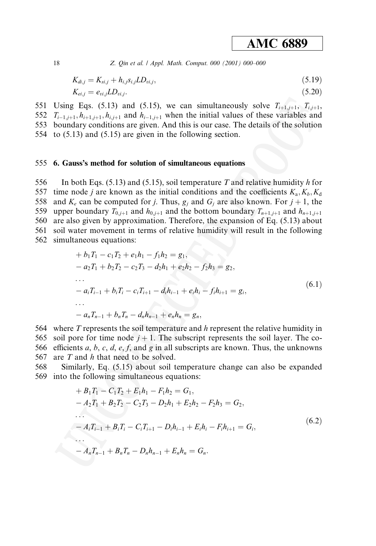Z. Qin et al. | Appl. Math. Comput. 000 (2001) 000-000

$$
K_{di,j} = K_{si,j} + h_{i,j} s_{i,j} L D_{vi,j},
$$
\n(5.19)

$$
K_{ei,j} = e_{vi,j}LD_{vi,j}.\tag{5.20}
$$

551 Using Eqs. (5.13) and (5.15), we can simultaneously solve  $T_{i+1,i+1}$ ,  $T_{i,i+1}$ 552  $T_{i-1,i+1}, h_{i+1,i+1}, h_{i,i+1}$  and  $h_{i-1,i+1}$  when the initial values of these variables and 553 boundary conditions are given. And this is our case. The details of the solution 554 to  $(5.13)$  and  $(5.15)$  are given in the following section.

#### 555 6. Gauss's method for solution of simultaneous equations

556 In both Eqs. (5.13) and (5.15), soil temperature T and relative humidity h for 557 time node *j* are known as the initial conditions and the coefficients  $K_a$ ,  $K_b$ ,  $K_d$ 558 and  $K_e$  can be computed for j. Thus,  $g_i$  and  $G_i$  are also known. For  $j + 1$ , the upper boundary  $T_{0,i+1}$  and  $h_{0,i+1}$  and the bottom boundary  $T_{n+1,i+1}$  and  $h_{n+1,i+1}$ 559 560 are also given by approximation. Therefore, the expansion of Eq. (5.13) about 561 soil water movement in terms of relative humidity will result in the following 562 simultaneous equations:

$$
+ b_1 T_1 - c_1 T_2 + e_1 h_1 - f_1 h_2 = g_1,
$$
  
\n
$$
- a_2 T_1 + b_2 T_2 - c_2 T_3 - d_2 h_1 + e_2 h_2 - f_2 h_3 = g_2,
$$
  
\n...  
\n
$$
- a_i T_{i-1} + b_i T_i - c_i T_{i+1} - d_i h_{i-1} + e_i h_i - f_i h_{i+1} = g_i,
$$
  
\n...  
\n
$$
- a_n T_{n-1} + b_n T_n - d_n h_{n-1} + e_n h_n = g_n,
$$
  
\n(6.1)

564 where T represents the soil temperature and h represent the relative humidity in 565 soil pore for time node  $j + 1$ . The subscript represents the soil layer. The co-566 efficients a, b, c, d, e, f, and g in all subscripts are known. Thus, the unknowns 567 are  $T$  and  $h$  that need to be solved.

568 Similarly, Eq. (5.15) about soil temperature change can also be expanded 569 into the following simultaneous equations:

$$
+ B_1 T_1 - C_1 T_2 + E_1 h_1 - F_1 h_2 = G_1,
$$
  
\n
$$
- A_2 T_1 + B_2 T_2 - C_2 T_3 - D_2 h_1 + E_2 h_2 - F_2 h_3 = G_2,
$$
  
\n...  
\n
$$
- A_i T_{i-1} + B_i T_i - C_i T_{i+1} - D_i h_{i-1} + E_i h_i - F_i h_{i+1} = G_i,
$$
  
\n...  
\n
$$
- A_n T_{n-1} + B_n T_n - D_n h_{n-1} + E_n h_n = G_n.
$$
\n(6.2)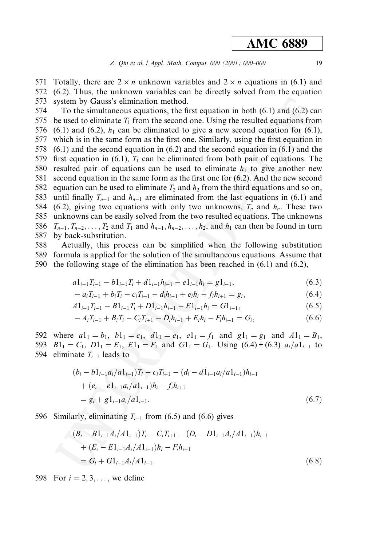Totally, there are  $2 \times n$  unknown variables and  $2 \times n$  equations in (6.1) and 571 572  $(6.2)$ . Thus, the unknown variables can be directly solved from the equation 573 system by Gauss's elimination method.

574 To the simultaneous equations, the first equation in both  $(6.1)$  and  $(6.2)$  can 575 be used to eliminate  $T_1$  from the second one. Using the resulted equations from 576  $(6.1)$  and  $(6.2)$ ,  $h_1$  can be eliminated to give a new second equation for  $(6.1)$ , 577 which is in the same form as the first one. Similarly, using the first equation in  $(6.1)$  and the second equation in  $(6.2)$  and the second equation in  $(6.1)$  and the 578 579 first equation in (6.1),  $T_1$  can be eliminated from both pair of equations. The resulted pair of equations can be used to eliminate  $h_1$  to give another new 580 581 second equation in the same form as the first one for  $(6.2)$ . And the new second 582 equation can be used to eliminate  $T_2$  and  $h_2$  from the third equations and so on, 583 until finally  $T_{n-1}$  and  $h_{n-1}$  are eliminated from the last equations in (6.1) and 584 (6.2), giving two equations with only two unknowns,  $T_n$  and  $h_n$ . These two unknowns can be easily solved from the two resulted equations. The unknowns 585  $T_{n-1}, T_{n-2}, \ldots, T_2$  and  $T_1$  and  $h_{n-1}, h_{n-2}, \ldots, h_2$ , and  $h_1$  can then be found in turn 586 587 by back-substitution.

588 Actually, this process can be simplified when the following substitution 589 formula is applied for the solution of the simultaneous equations. Assume that 590 the following stage of the elimination has been reached in  $(6.1)$  and  $(6.2)$ ,

$$
a1_{i-1}T_{i-1} - b1_{i-1}T_i + d1_{i-1}h_{i-1} - e1_{i-1}h_i = g1_{i-1},
$$
\n(6.3)

$$
- a_i T_{i-1} + b_i T_i - c_i T_{i+1} - d_i h_{i-1} + e_i h_i - f_i h_{i+1} = g_i,
$$
\n(6.4)

$$
A1_{i-1}T_{i-1} - B1_{i-1}T_i + D1_{i-1}h_{i-1} - E1_{i-1}h_i = G1_{i-1},
$$
\n(6.5)

$$
-A_iT_{i-1} + B_iT_i - C_iT_{i+1} - D_ih_{i-1} + E_ih_i - F_ih_{i+1} = G_i,
$$
\n(6.6)

592 where  $a1_1 = b_1$ ,  $b1_1 = c_1$ ,  $d1_1 = e_1$ ,  $e1_1 = f_1$  and  $g1_1 = g_1$  and  $A1_1 = B_1$ . 593  $B1_1 = C_1$ ,  $D1_1 = E_1$ ,  $E1_1 = F_1$  and  $G1_1 = G_1$ . Using  $(6.4) + (6.3) a_i/a1_{i-1}$  to 594 eliminate  $T_{i-1}$  leads to

$$
(b_i - b1_{i-1}a_i/a1_{i-1})T_i - c_iT_{i+1} - (d_i - d1_{i-1}a_i/a1_{i-1})h_{i-1}
$$
  
+ 
$$
(e_i - e1_{i-1}a_i/a1_{i-1})h_i - f_ih_{i+1}
$$
  
= 
$$
g_i + g1_{i-1}a_i/a1_{i-1}.
$$
 (6.7)

596 Similarly, eliminating  $T_{i-1}$  from (6.5) and (6.6) gives

$$
(B_i - B1_{i-1}A_i/A1_{i-1})T_i - C_iT_{i+1} - (D_i - D1_{i-1}A_i/A1_{i-1})h_{i-1}
$$
  
+ 
$$
(E_i - E1_{i-1}A_i/A1_{i-1})h_i - F_ih_{i+1}
$$
  
= 
$$
G_i + G1_{i-1}A_i/A1_{i-1}.
$$
 (6.8)

598 For  $i = 2, 3, ...$ , we define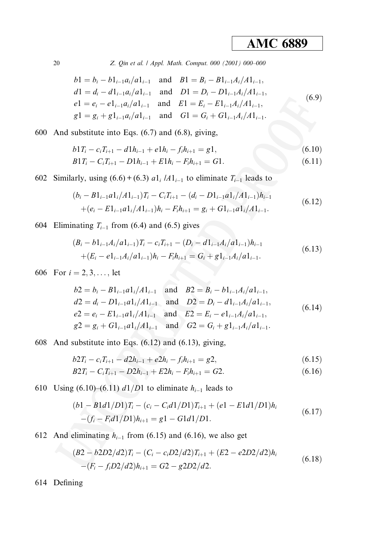Z. Qin et al. / Appl. Math. Comput. 000 (2001) 000-000

$$
b1 = b_i - b1_{i-1}a_i/a1_{i-1}
$$
 and 
$$
B1 = B_i - B1_{i-1}A_i/A1_{i-1},
$$
  
\n
$$
d1 = d_i - d1_{i-1}a_i/a1_{i-1}
$$
 and 
$$
D1 = D_i - D1_{i-1}A_i/A1_{i-1},
$$
  
\n
$$
e1 = e_i - e1_{i-1}a_i/a1_{i-1}
$$
 and 
$$
E1 = E_i - E1_{i-1}A_i/A1_{i-1},
$$
  
\n
$$
g1 = g_i + g1_{i-1}a_i/a1_{i-1}
$$
 and 
$$
G1 = G_i + G1_{i-1}A_i/A1_{i-1}.
$$
 (6.9)

600 And substitute into Eqs.  $(6.7)$  and  $(6.8)$ , giving,

$$
b1T_i - c_iT_{i+1} - d1h_{i-1} + e1h_i - f_ih_{i+1} = g1,
$$
  
\n
$$
B1T_i - C_iT_{i+1} - D1h_{i-1} + E1h_i - F_ih_{i+1} = G1.
$$
\n(6.10)

602 Similarly, using  $(6.6) + (6.3) a_1 / A_1$  to eliminate  $T_{i-1}$  leads to

$$
(b_i - B1_{i-1}a1_i/A1_{i-1})T_i - C_iT_{i+1} - (d_i - D1_{i-1}a1_i/A1_{i-1})h_{i-1} + (e_i - E1_{i-1}a1_i/A1_{i-1})h_i - F_ih_{i+1} = g_i + G1_{i-1}a1_i/A1_{i-1}.
$$
\n
$$
(6.12)
$$

604 Eliminating  $T_{i-1}$  from (6.4) and (6.5) gives

$$
(B_i - b1_{i-1}A_i/a1_{i-1})T_i - c_iT_{i+1} - (D_i - d1_{i-1}A_i/a1_{i-1})h_{i-1}
$$
  
+(E\_i - e1\_{i-1}A\_i/a1\_{i-1})h\_i - F\_ih\_{i+1} = G\_i + g1\_{i-1}A\_i/a1\_{i-1}. (6.13)

606 For  $i = 2, 3, ...,$  let

$$
b2 = b_i - B1_{i-1}a1_i/A1_{i-1} \text{ and } B2 = B_i - b1_{i-1}A_i/a1_{i-1},
$$
  
\n
$$
d2 = d_i - D1_{i-1}a1_i/A1_{i-1} \text{ and } D2 = D_i - d1_{i-1}A_i/a1_{i-1},
$$
  
\n
$$
e2 = e_i - E1_{i-1}a1_i/A1_{i-1} \text{ and } E2 = E_i - e1_{i-1}A_i/a1_{i-1},
$$
  
\n
$$
g2 = g_i + G1_{i-1}a1_i/A1_{i-1} \text{ and } G2 = G_i + g1_{i-1}A_i/a1_{i-1}.
$$
  
\n(6.14)

608 And substitute into Eqs.  $(6.12)$  and  $(6.13)$ , giving,

$$
b2T_i - c_iT_{i+1} - d2h_{i-1} + e2h_i - f_ih_{i+1} = g2,
$$
\n(6.15)

$$
B2T_i - C_i T_{i+1} - D2h_{i-1} + E2h_i - F_i h_{i+1} = G2.
$$
 (6.16)

610 Using (6.10)–(6.11)  $d1/D1$  to eliminate  $h_{i-1}$  leads to

$$
(b1 - B1d1/D1)T_i - (c_i - C_i d1/D1)T_{i+1} + (e1 - E1d1/D1)h_i
$$
  
-(f<sub>i</sub> - F<sub>i</sub>d1/D1)h<sub>i+1</sub> = g1 - G1d1/D1. (6.17)

612 And eliminating  $h_{i-1}$  from (6.15) and (6.16), we also get

$$
(B2 - b2D2/d2)T_i - (C_i - c_i D2/d2)T_{i+1} + (E2 - e2D2/d2)h_i
$$
  
-(F<sub>i</sub> - f<sub>i</sub>D2/d2)h<sub>i+1</sub> = G2 - g2D2/d2. (6.18)

614 Defining

$$
20\quad
$$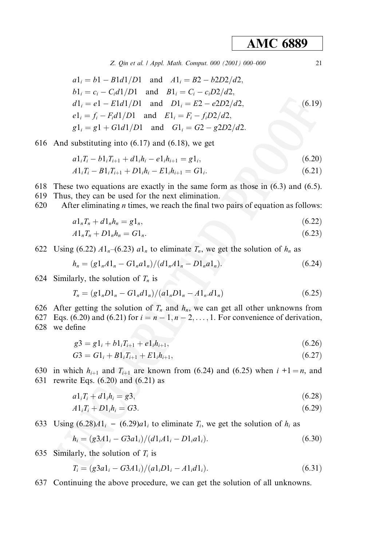Z. Qin et al. / Appl. Math. Comput. 000 (2001) 000-000

$$
a1i = b1 - B1d1/D1 \text{ and } A1i = B2 - b2D2/d2,b1i = ci - Cid1/D1 \text{ and } B1i = Ci - ciD2/d2,d1i = e1 - E1d1/D1 \text{ and } D1i = E2 - e2D2/d2,e1i = fi - Fid1/D1 \text{ and } E1i = Fi - fiD2/d2,g1i = g1 + G1d1/D1 \text{ and } G1i = G2 - g2D2/d2.
$$
 (6.19)

616 And substituting into  $(6.17)$  and  $(6.18)$ , we get

$$
a1_iT_i - b1_iT_{i+1} + d1_ih_i - e1_ih_{i+1} = g1_i, \t\t(6.20)
$$

$$
A1_iT_i - B1_iT_{i+1} + D1_ih_i - E1_ih_{i+1} = G1_i.
$$
\n(6.21)

- 618 These two equations are exactly in the same form as those in  $(6.3)$  and  $(6.5)$ .
- 619 Thus, they can be used for the next elimination.
- 620 After eliminating  $n$  times, we reach the final two pairs of equation as follows:

$$
a1_nT_n + d1_nh_n = g1_n,\tag{6.22}
$$

$$
A1_nT_n + D1_nh_n = G1_n. \tag{6.23}
$$

622 Using (6.22)  $A1_n$ –(6.23)  $a1_n$  to eliminate  $T_n$ , we get the solution of  $h_n$  as

$$
h_n = (g1_nA1_n - G1_na1_n)/(d1_nA1_n - D1_na1_n). \tag{6.24}
$$

624 Similarly, the solution of  $T_n$  is

$$
T_n = (g1_n D1_n - G1_n d1_n)/(a1_n D1_n - A1_n d1_n)
$$
\n(6.25)

- 626 After getting the solution of  $T_n$  and  $h_n$ , we can get all other unknowns from
- 627 Eqs. (6.20) and (6.21) for  $i = n 1, n 2, \ldots, 1$ . For convenience of derivation, 628 we define

$$
g3 = g1_i + b1_iT_{i+1} + e1_ih_{i+1},
$$
\n(6.26)

$$
G3 = G1_i + B1_iT_{i+1} + E1_ih_{i+1},\tag{6.27}
$$

630 in which  $h_{i+1}$  and  $T_{i+1}$  are known from (6.24) and (6.25) when  $i + 1 = n$ , and 631 rewrite Eqs.  $(6.20)$  and  $(6.21)$  as

$$
a1_iT_i + d1_ih_i = g3,\t\t(6.28)
$$

$$
A1_iT_i + D1_ih_i = G3. \t\t(6.29)
$$

633 Using  $(6.28)A1_i - (6.29)a1_i$  to eliminate  $T_i$ , we get the solution of  $h_i$  as

$$
h_i = (g3A1_i - G3a1_i)/(d1_iA1_i - D1_ia1_i). \tag{6.30}
$$

635 Similarly, the solution of  $T_i$  is

$$
T_i = (g3a1_i - G3A1_i)/(a1_iD1_i - A1_id1_i). \tag{6.31}
$$

637 Continuing the above procedure, we can get the solution of all unknowns.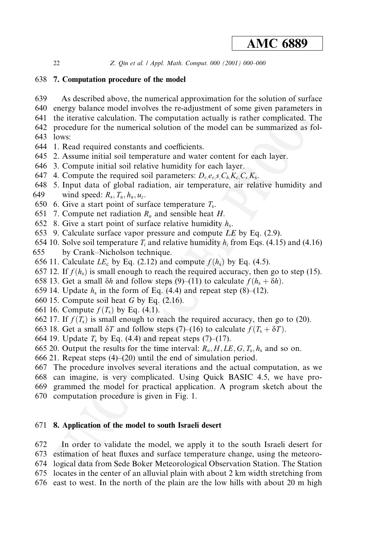Z. Qin et al. | Appl. Math. Comput. 000 (2001) 000-000

### 638 7. Computation procedure of the model

- As described above, the numerical approximation for the solution of surface 639
- 640 energy balance model involves the re-adjustment of some given parameters in
- 641 the iterative calculation. The computation actually is rather complicated. The 642 procedure for the numerical solution of the model can be summarized as fol-
- 643 lows:
- 644 1. Read required constants and coefficients.
- 645 2. Assume initial soil temperature and water content for each layer.
- 646 3. Compute initial soil relative humidity for each layer.
- 647 4. Compute the required soil parameters:  $D_n e_n s C_h K_c C_s K_s$ .
- 648 5. Input data of global radiation, air temperature, air relative humidity and 649 wind speed:  $R_s$ ,  $T_a$ ,  $h_a$ ,  $u_z$ .
- 650 6. Give a start point of surface temperature  $T_s$ .
- 651 7. Compute net radiation  $R_n$  and sensible heat H.
- 652 8. Give a start point of surface relative humidity  $h_s$ .
- 653 9. Calculate surface vapor pressure and compute LE by Eq. (2.9).
- 654 10. Solve soil temperature  $T_i$  and relative humidity  $h_i$  from Eqs. (4.15) and (4.16)
- 655 by Crank–Nicholson technique.
- 656 11. Calculate  $LE_c$  by Eq. (2.12) and compute  $f(h_s)$  by Eq. (4.5).
- 657 12. If  $f(h_s)$  is small enough to reach the required accuracy, then go to step (15).
- 658 13. Get a small  $\delta h$  and follow steps (9)–(11) to calculate  $f(h_s + \delta h)$ .
- 659 14. Update  $h_s$  in the form of Eq. (4.4) and repeat step (8)–(12).
- 660 15. Compute soil heat G by Eq.  $(2.16)$ .
- 661 16. Compute  $f(T_s)$  by Eq. (4.1).
- 662 17. If  $f(T_s)$  is small enough to reach the required accuracy, then go to (20).
- 663 18. Get a small  $\delta T$  and follow steps (7)–(16) to calculate  $f(T_s + \delta T)$ .
- 664 19. Update  $T_s$  by Eq. (4.4) and repeat steps (7)–(17).
- 665 20. Output the results for the time interval:  $R_n$ ,  $H$ ,  $LE$ ,  $G$ ,  $T_s$ ,  $h_s$  and so on.
- 666 21. Repeat steps  $(4)$ – $(20)$  until the end of simulation period.
- 667 The procedure involves several iterations and the actual computation, as we
- 668 can imagine, is very complicated. Using Quick BASIC 4.5, we have pro-669 grammed the model for practical application. A program sketch about the
- 670 computation procedure is given in Fig. 1.

### 671 8. Application of the model to south Israeli desert

672 In order to validate the model, we apply it to the south Israeli desert for 673 estimation of heat fluxes and surface temperature change, using the meteoro-674 logical data from Sede Boker Meteorological Observation Station. The Station 675 locates in the center of an alluvial plain with about 2 km width stretching from

676 east to west. In the north of the plain are the low hills with about 20 m high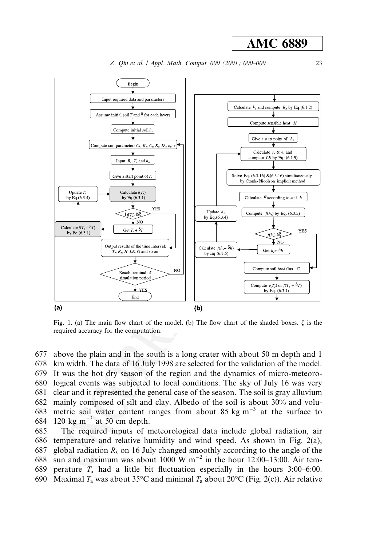

Fig. 1. (a) The main flow chart of the model. (b) The flow chart of the shaded boxes.  $\xi$  is the required accuracy for the computation.

677 above the plain and in the south is a long crater with about 50 m depth and 1 678 km width. The data of 16 July 1998 are selected for the validation of the model. 679 It was the hot dry season of the region and the dynamics of micro-meteoro-680 logical events was subjected to local conditions. The sky of July 16 was very clear and it represented the general case of the season. The soil is gray alluvium 681 mainly composed of silt and clay. Albedo of the soil is about 30% and volu-682 metric soil water content ranges from about 85 kg  $m^{-3}$  at the surface to 683 684 120 kg m<sup>-3</sup> at 50 cm depth. The required inputs of meteorological data include global radiation, air 685 686 temperature and relative humidity and wind speed. As shown in Fig.  $2(a)$ , global radiation  $R_s$  on 16 July changed smoothly according to the angle of the 687

689 perature  $T_a$  had a little bit fluctuation especially in the hours 3:00–6:00. Maximal  $T_a$  was about 35°C and minimal  $T_a$  about 20°C (Fig. 2(c)). Air relative 690

688

sun and maximum was about 1000 W  $m^{-2}$  in the hour 12:00–13:00. Air tem-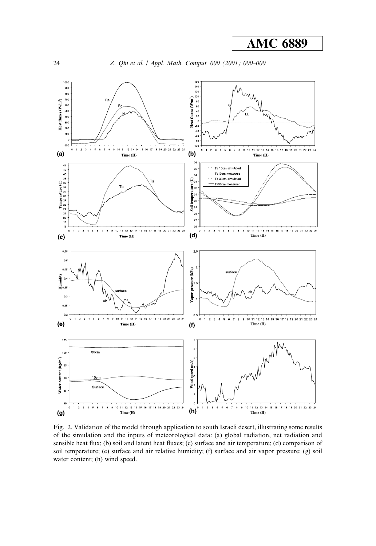Z. Qin et al. / Appl. Math. Comput. 000 (2001) 000-000



Fig. 2. Validation of the model through application to south Israeli desert, illustrating some results of the simulation and the inputs of meteorological data: (a) global radiation, net radiation and sensible heat flux; (b) soil and latent heat fluxes; (c) surface and air temperature; (d) comparison of soil temperature; (e) surface and air relative humidity; (f) surface and air vapor pressure; (g) soil water content; (h) wind speed.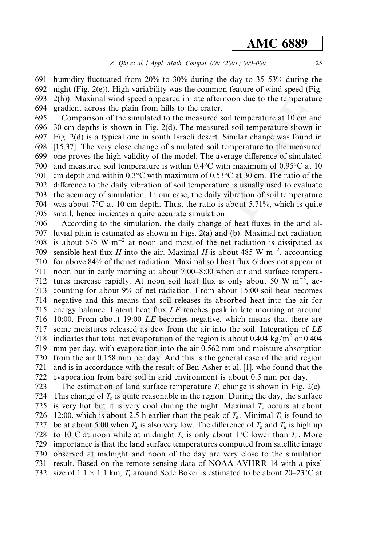691 humidity fluctuated from 20% to 30% during the day to 35–53% during the night (Fig. 2(e)). High variability was the common feature of wind speed (Fig. 692 693  $2(h)$ ). Maximal wind speed appeared in late afternoon due to the temperature 694 gradient across the plain from hills to the crater.

695 Comparison of the simulated to the measured soil temperature at 10 cm and 696 30 cm depths is shown in Fig.  $2(d)$ . The measured soil temperature shown in 697 Fig. 2(d) is a typical one in south Israeli desert. Similar change was found in 698 [15,37]. The very close change of simulated soil temperature to the measured 699 one proves the high validity of the model. The average difference of simulated 700 and measured soil temperature is within  $0.4^{\circ}$ C with maximum of  $0.95^{\circ}$ C at 10 701 cm depth and within 0.3 °C with maximum of  $0.53$  °C at 30 cm. The ratio of the 702 difference to the daily vibration of soil temperature is usually used to evaluate 703 the accuracy of simulation. In our case, the daily vibration of soil temperature 704 was about  $7^{\circ}$ C at 10 cm depth. Thus, the ratio is about 5.71%, which is quite small, hence indicates a quite accurate simulation. 705

According to the simulation, the daily change of heat fluxes in the arid al-706 707 luvial plain is estimated as shown in Figs. 2(a) and (b). Maximal net radiation is about 575 W  $m^{-2}$  at noon and most of the net radiation is dissipated as 708 sensible heat flux H into the air. Maximal H is about 485 W  $m^{-2}$ , accounting 709 710 for above 84% of the net radiation. Maximal soil heat flux G does not appear at 711 noon but in early morning at about 7:00–8:00 when air and surface tempera-712 tures increase rapidly. At noon soil heat flux is only about 50 W  $\mathrm{m}^{-2}$ , accounting for about 9% of net radiation. From about 15:00 soil heat becomes 713 714 negative and this means that soil releases its absorbed heat into the air for 715 energy balance. Latent heat flux LE reaches peak in late morning at around 716 10:00. From about 19:00 LE becomes negative, which means that there are 717 some moistures released as dew from the air into the soil. Integration of LE indicates that total net evaporation of the region is about 0.404 kg/m<sup>2</sup> or 0.404 718 mm per day, with evaporation into the air 0.562 mm and moisture absorption 719 720 from the air 0.158 mm per day. And this is the general case of the arid region 721 and is in accordance with the result of Ben-Asher et al. [1], who found that the 722 evaporation from bare soil in arid environment is about 0.5 mm per day.

723 The estimation of land surface temperature  $T_s$  change is shown in Fig. 2(c). 724 This change of  $T_s$  is quite reasonable in the region. During the day, the surface 725 is very hot but it is very cool during the night. Maximal  $T_s$  occurs at about 12:00, which is about 2.5 h earlier than the peak of  $T_a$ . Minimal  $T_s$  is found to 726 be at about 5:00 when  $T_a$  is also very low. The difference of  $T_s$  and  $T_a$  is high up 727 728 to 10<sup>o</sup>C at noon while at midnight  $T_s$  is only about 1<sup>o</sup>C lower than  $T_a$ . More 729 importance is that the land surface temperatures computed from satellite image 730 observed at midnight and noon of the day are very close to the simulation 731 result. Based on the remote sensing data of NOAA-AVHRR 14 with a pixel 732 size of 1.1  $\times$  1.1 km,  $T_s$  around Sede Boker is estimated to be about 20–23 °C at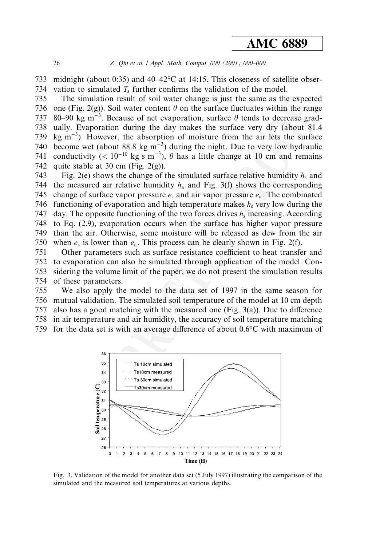733 midnight (about 0:35) and  $40-42$ °C at 14:15. This closeness of satellite obser-734 vation to simulated  $T_s$  further confirms the validation of the model.

735 The simulation result of soil water change is just the same as the expected 736 one (Fig. 2(g)). Soil water content  $\theta$  on the surface fluctuates within the range 80–90 kg m<sup>-3</sup>. Because of net evaporation, surface  $\theta$  tends to decrease grad-737 ually. Evaporation during the day makes the surface very dry (about 81.4) 738 739 kg  $m^{-3}$ ). However, the absorption of moisture from the air lets the surface become wet (about 88.8 kg  $m^{-3}$ ) during the night. Due to very low hydraulic 740 conductivity (<  $10^{-10}$  kg s m<sup>-3</sup>),  $\theta$  has a little change at 10 cm and remains 741 742 quite stable at 30 cm (Fig.  $2(g)$ ).

Fig. 2(e) shows the change of the simulated surface relative humidity  $h_s$  and 743 744 the measured air relative humidity  $h_a$  and Fig. 3(f) shows the corresponding 745 change of surface vapor pressure  $e_s$  and air vapor pressure  $e_a$ . The combinated 746 functioning of evaporation and high temperature makes  $h_s$  very low during the day. The opposite functioning of the two forces drives  $h_s$  increasing. According 747 to Eq. (2.9), evaporation occurs when the surface has higher vapor pressure 748 749 than the air. Otherwise, some moisture will be released as dew from the air 750 when  $e_s$  is lower than  $e_a$ . This process can be clearly shown in Fig. 2(f).

751 Other parameters such as surface resistance coefficient to heat transfer and 752 to evaporation can also be simulated through application of the model. Con-753 sidering the volume limit of the paper, we do not present the simulation results 754 of these parameters.

755 We also apply the model to the data set of 1997 in the same season for 756 mutual validation. The simulated soil temperature of the model at 10 cm depth 757 also has a good matching with the measured one (Fig.  $3(a)$ ). Due to difference 758 in air temperature and air humidity, the accuracy of soil temperature matching 759 for the data set is with an average difference of about  $0.6^{\circ}$ C with maximum of



Fig. 3. Validation of the model for another data set (5 July 1997) illustrating the comparison of the simulated and the measured soil temperatures at various depths.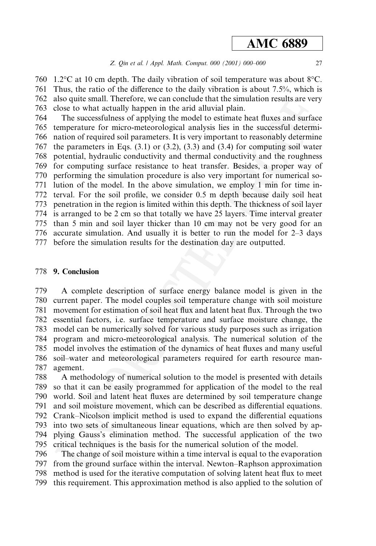760 1.2 °C at 10 cm depth. The daily vibration of soil temperature was about  $8^{\circ}$ C. 761 Thus, the ratio of the difference to the daily vibration is about 7.5%, which is also quite small. Therefore, we can conclude that the simulation results are very 762 763 close to what actually happen in the arid alluvial plain.

764 The successfulness of applying the model to estimate heat fluxes and surface 765 temperature for micro-meteorological analysis lies in the successful determi-766 nation of required soil parameters. It is very important to reasonably determine 767 the parameters in Eqs.  $(3.1)$  or  $(3.2)$ ,  $(3.3)$  and  $(3.4)$  for computing soil water 768 potential, hydraulic conductivity and thermal conductivity and the roughness for computing surface resistance to heat transfer. Besides, a proper way of 769 performing the simulation procedure is also very important for numerical so-770 lution of the model. In the above simulation, we employ 1 min for time in-771 772 terval. For the soil profile, we consider 0.5 m depth because daily soil heat 773 penetration in the region is limited within this depth. The thickness of soil layer 774 is arranged to be 2 cm so that totally we have 25 layers. Time interval greater 775 than 5 min and soil layer thicker than 10 cm may not be very good for an 776 accurate simulation. And usually it is better to run the model for 2–3 days 777 before the simulation results for the destination day are outputted.

### 778 9. Conclusion

A complete description of surface energy balance model is given in the 779 780 current paper. The model couples soil temperature change with soil moisture movement for estimation of soil heat flux and latent heat flux. Through the two 781 782 essential factors, *i.e.* surface temperature and surface moisture change, the 783 model can be numerically solved for various study purposes such as irrigation 784 program and micro-meteorological analysis. The numerical solution of the model involves the estimation of the dynamics of heat fluxes and many useful 785 786 soil-water and meteorological parameters required for earth resource man-787 agement.

788 A methodology of numerical solution to the model is presented with details 789 so that it can be easily programmed for application of the model to the real 790 world. Soil and latent heat fluxes are determined by soil temperature change 791 and soil moisture movement, which can be described as differential equations. 792 Crank–Nicolson implicit method is used to expand the differential equations 793 into two sets of simultaneous linear equations, which are then solved by ap-794 plying Gauss's elimination method. The successful application of the two 795 critical techniques is the basis for the numerical solution of the model. 796

The change of soil moisture within a time interval is equal to the evaporation 797 from the ground surface within the interval. Newton–Raphson approximation method is used for the iterative computation of solving latent heat flux to meet 798 799 this requirement. This approximation method is also applied to the solution of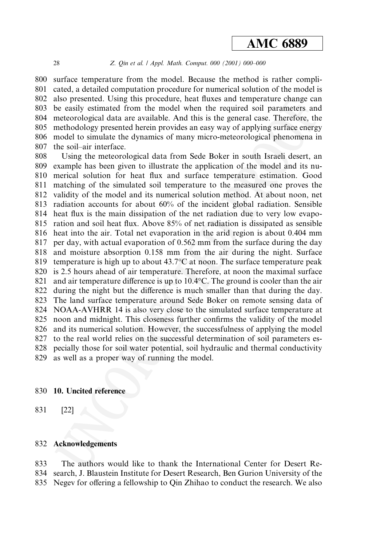#### Z. Qin et al. / Appl. Math. Comput. 000 (2001) 000-000

800 surface temperature from the model. Because the method is rather compli-801 cated, a detailed computation procedure for numerical solution of the model is also presented. Using this procedure, heat fluxes and temperature change can 802 803 be easily estimated from the model when the required soil parameters and meteorological data are available. And this is the general case. Therefore, the 804 methodology presented herein provides an easy way of applying surface energy 805 806 model to simulate the dynamics of many micro-meteorological phenomena in 807 the soil-air interface.

808 Using the meteorological data from Sede Boker in south Israeli desert, an example has been given to illustrate the application of the model and its nu-809 merical solution for heat flux and surface temperature estimation. Good 810 matching of the simulated soil temperature to the measured one proves the 811 812 validity of the model and its numerical solution method. At about noon, net 813 radiation accounts for about 60% of the incident global radiation. Sensible 814 heat flux is the main dissipation of the net radiation due to very low evapo-815 ration and soil heat flux. Above 85% of net radiation is dissipated as sensible heat into the air. Total net evaporation in the arid region is about 0.404 mm 816 per day, with actual evaporation of 0.562 mm from the surface during the day 817 818 and moisture absorption 0.158 mm from the air during the night. Surface temperature is high up to about  $43.7^{\circ}$ C at noon. The surface temperature peak 819 820 is 2.5 hours ahead of air temperature. Therefore, at noon the maximal surface 821 and air temperature difference is up to  $10.4$ °C. The ground is cooler than the air 822 during the night but the difference is much smaller than that during the day. 823 The land surface temperature around Sede Boker on remote sensing data of 824 NOAA-AVHRR 14 is also very close to the simulated surface temperature at 825 noon and midnight. This closeness further confirms the validity of the model 826 and its numerical solution. However, the successfulness of applying the model 827 to the real world relies on the successful determination of soil parameters es-828 pecially those for soil water potential, soil hydraulic and thermal conductivity 829 as well as a proper way of running the model.

#### 830 10. Uncited reference

831  $[22]$ 

### 832 Acknowledgements

The authors would like to thank the International Center for Desert Re-833 834 search, J. Blaustein Institute for Desert Research, Ben Gurion University of the 835 Negev for offering a fellowship to Oin Zhihao to conduct the research. We also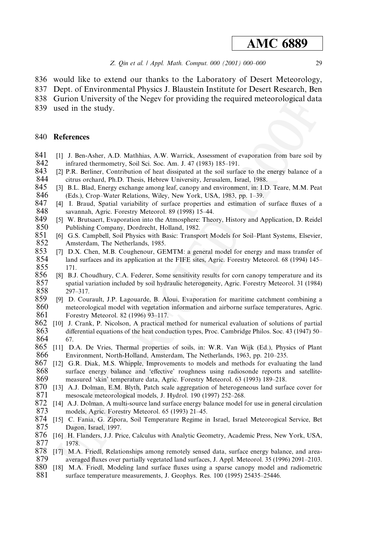- 836 would like to extend our thanks to the Laboratory of Desert Meteorology,
- 837 Dept. of Environmental Physics J. Blaustein Institute for Desert Research, Ben
- 838 Gurion University of the Negey for providing the required meteorological data
- 839 used in the study.

#### 840 **References**

- 841 [1] J. Ben-Asher, A.D. Mathhias, A.W. Warrick, Assessment of evaporation from bare soil by 842 infrared thermometry, Soil Sci. Soc. Am. J. 47 (1983) 185-191.
- 843 [2] P.R. Berliner, Contribution of heat dissipated at the soil surface to the energy balance of a 844 citrus orchard, Ph.D. Thesis, Hebrew University, Jerusalem, Israel, 1988.
- 845 [3] B.L. Blad, Energy exchange among leaf, canopy and environment, in: I.D. Teare, M.M. Peat 846 (Eds.), Crop-Water Relations, Wiley, New York, USA, 1983, pp. 1-39.
- 847 [4] I. Braud, Spatial variability of surface properties and estimation of surface fluxes of a 848 savannah, Agric. Forestry Meteorol. 89 (1998) 15-44.
- 849 [5] W. Brutsaert, Evaporation into the Atmosphere: Theory, History and Application, D. Reidel 850 Publishing Company, Dordrecht, Holland, 1982.
- 851 [6] G.S. Campbell, Soil Physics with Basic: Transport Models for Soil-Plant Systems, Elsevier, 852 Amsterdam, The Netherlands, 1985.
- 853 [7] D.X. Chen, M.B. Coughenour, GEMTM: a general model for energy and mass transfer of 854 land surfaces and its application at the FIFE sites, Agric. Forestry Meteorol. 68 (1994) 145– 855 171
- 856 [8] B.J. Choudhury, C.A. Federer, Some sensitivity results for corn canopy temperature and its 857 spatial variation included by soil hydraulic heterogeneity, Agric. Forestry Meteorol. 31 (1984) 858  $297 - 317.$
- 859 [9] D. Courault, J.P. Lagouarde, B. Aloui, Evaporation for maritime catchment combining a 860 meteorological model with vegetation information and airborne surface temperatures, Agric. 861 Forestry Meteorol. 82 (1996) 93-117.
- 862 [10] J. Crank, P. Nicolson, A practical method for numerical evaluation of solutions of partial 863 differential equations of the heat conduction types, Proc. Cambridge Philos. Soc. 43 (1947) 50– 864 67.
- 865 [11] D.A. De Vries, Thermal properties of soils, in: W.R. Van Wijk (Ed.), Physics of Plant 866 Environment, North-Holland, Amsterdam, The Netherlands, 1963, pp. 210-235.
- 867 [12] G.R. Diak, M.S. Whipple, Improvements to models and methods for evaluating the land 868 surface energy balance and 'effective' roughness using radiosonde reports and satellite-869 measured 'skin' temperature data, Agric. Forestry Meteorol. 63 (1993) 189–218.
- 870 [13] A.J. Dolman, E.M. Blyth, Patch scale aggregation of heterogeneous land surface cover for 871 mesoscale meteorological models, J. Hydrol. 190 (1997) 252-268.
- 872 [14] A.J. Dolman, A multi-source land surface energy balance model for use in general circulation 873 models, Agric. Forestry Meteorol. 65 (1993) 21-45.
- 874 [15] C. Fania, G. Zipora, Soil Temperature Regime in Israel, Israel Meteorogical Service, Bet 875 Dagon, Israel, 1997.
- 876 [16] H. Flanders, J.J. Price, Calculus with Analytic Geometry, Academic Press, New York, USA, 877 1978.
- 878 [17] M.A. Friedl, Relationships among remotely sensed data, surface energy balance, and area-879 averaged fluxes over partially vegetated land surfaces, J. Appl. Meteorol. 35 (1996) 2091–2103.
- 880 [18] M.A. Friedl, Modeling land surface fluxes using a sparse canopy model and radiometric 881 surface temperature measurements, J. Geophys. Res. 100 (1995) 25435-25446.